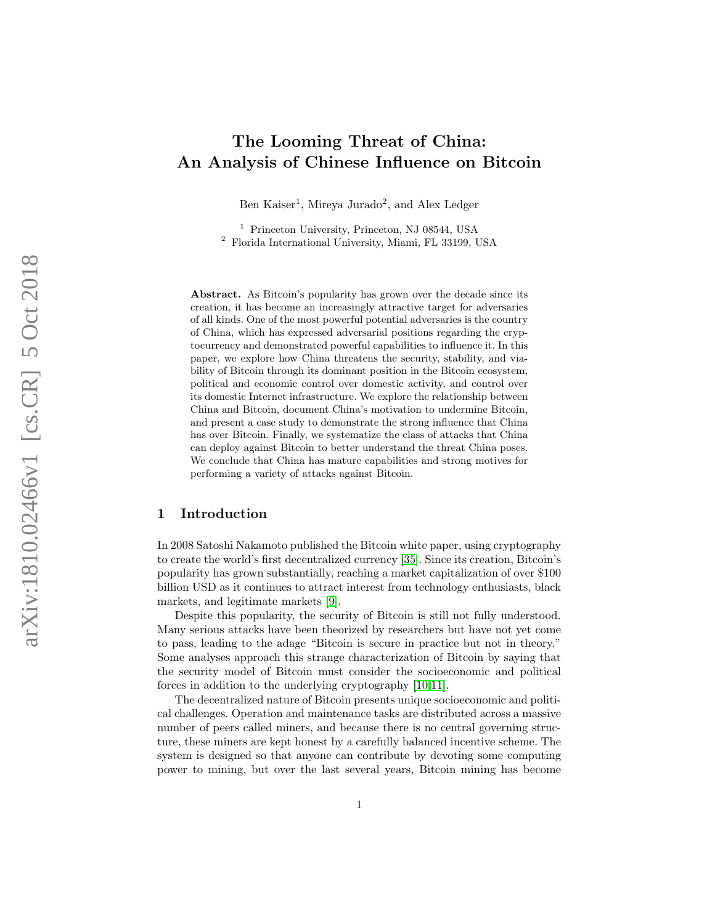# The Looming Threat of China: An Analysis of Chinese Influence on Bitcoin

Ben Kaiser 1 , Mireya Jurado 2 , and Alex Ledger

<sup>1</sup> Princeton University, Princeton, NJ 08544, USA <sup>2</sup> Florida International University, Miami, FL 33199, USA

Abstract. As Bitcoin's popularity has grown over the decade since its creation, it has become an increasingly attractive target for adversaries of all kinds. One of the most powerful potential adversaries is the country of China, which has expressed adversarial positions regarding the cryptocurrency and demonstrated powerful capabilities to influence it. In this paper, we explore how China threatens the security, stability, and viability of Bitcoin through its dominant position in the Bitcoin ecosystem, political and economic control over domestic activity, and control over its domestic Internet infrastructure. We explore the relationship between China and Bitcoin, document China's motivation to undermine Bitcoin, and present a case study to demonstrate the strong influence that China has over Bitcoin. Finally, we systematize the class of attacks that China can deploy against Bitcoin to better understand the threat China poses. We conclude that China has mature capabilities and strong motives for performing a variety of attacks against Bitcoin.

# 1 Introduction

In 2008 Satoshi Nakamoto published the Bitcoin white paper, using cryptography to create the world's first decentralized currency [\[35\]](#page-20-0). Since its creation, Bitcoin's popularity has grown substantially, reaching a market capitalization of over \$100 billion USD as it continues to attract interest from technology enthusiasts, black markets, and legitimate markets [\[9\]](#page-18-0).

Despite this popularity, the security of Bitcoin is still not fully understood. Many serious attacks have been theorized by researchers but have not yet come to pass, leading to the adage "Bitcoin is secure in practice but not in theory." Some analyses approach this strange characterization of Bitcoin by saying that the security model of Bitcoin must consider the socioeconomic and political forces in addition to the underlying cryptography [\[10,](#page-18-1)[11\]](#page-18-2).

The decentralized nature of Bitcoin presents unique socioeconomic and political challenges. Operation and maintenance tasks are distributed across a massive number of peers called miners, and because there is no central governing structure, these miners are kept honest by a carefully balanced incentive scheme. The system is designed so that anyone can contribute by devoting some computing power to mining, but over the last several years, Bitcoin mining has become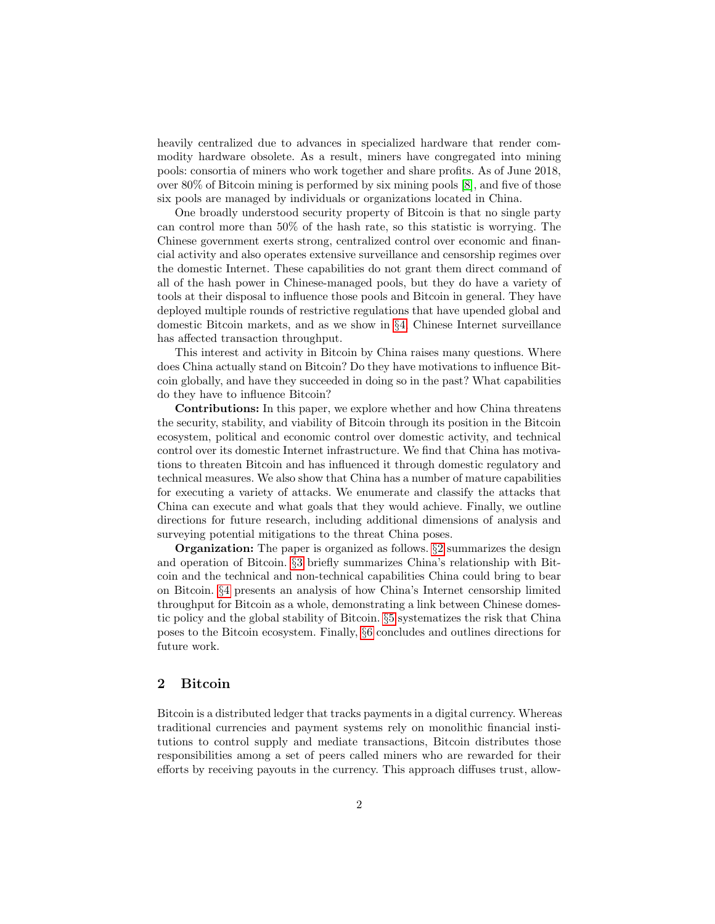heavily centralized due to advances in specialized hardware that render commodity hardware obsolete. As a result, miners have congregated into mining pools: consortia of miners who work together and share profits. As of June 2018, over 80% of Bitcoin mining is performed by six mining pools [\[8\]](#page-18-3), and five of those six pools are managed by individuals or organizations located in China.

One broadly understood security property of Bitcoin is that no single party can control more than 50% of the hash rate, so this statistic is worrying. The Chinese government exerts strong, centralized control over economic and financial activity and also operates extensive surveillance and censorship regimes over the domestic Internet. These capabilities do not grant them direct command of all of the hash power in Chinese-managed pools, but they do have a variety of tools at their disposal to influence those pools and Bitcoin in general. They have deployed multiple rounds of restrictive regulations that have upended global and domestic Bitcoin markets, and as we show in §[4,](#page-5-0) Chinese Internet surveillance has affected transaction throughput.

This interest and activity in Bitcoin by China raises many questions. Where does China actually stand on Bitcoin? Do they have motivations to influence Bitcoin globally, and have they succeeded in doing so in the past? What capabilities do they have to influence Bitcoin?

Contributions: In this paper, we explore whether and how China threatens the security, stability, and viability of Bitcoin through its position in the Bitcoin ecosystem, political and economic control over domestic activity, and technical control over its domestic Internet infrastructure. We find that China has motivations to threaten Bitcoin and has influenced it through domestic regulatory and technical measures. We also show that China has a number of mature capabilities for executing a variety of attacks. We enumerate and classify the attacks that China can execute and what goals that they would achieve. Finally, we outline directions for future research, including additional dimensions of analysis and surveying potential mitigations to the threat China poses.

Organization: The paper is organized as follows. §[2](#page-1-0) summarizes the design and operation of Bitcoin. §[3](#page-3-0) briefly summarizes China's relationship with Bitcoin and the technical and non-technical capabilities China could bring to bear on Bitcoin. §[4](#page-5-0) presents an analysis of how China's Internet censorship limited throughput for Bitcoin as a whole, demonstrating a link between Chinese domestic policy and the global stability of Bitcoin. §[5](#page-8-0) systematizes the risk that China poses to the Bitcoin ecosystem. Finally, §[6](#page-14-0) concludes and outlines directions for future work.

# <span id="page-1-0"></span>2 Bitcoin

Bitcoin is a distributed ledger that tracks payments in a digital currency. Whereas traditional currencies and payment systems rely on monolithic financial institutions to control supply and mediate transactions, Bitcoin distributes those responsibilities among a set of peers called miners who are rewarded for their efforts by receiving payouts in the currency. This approach diffuses trust, allow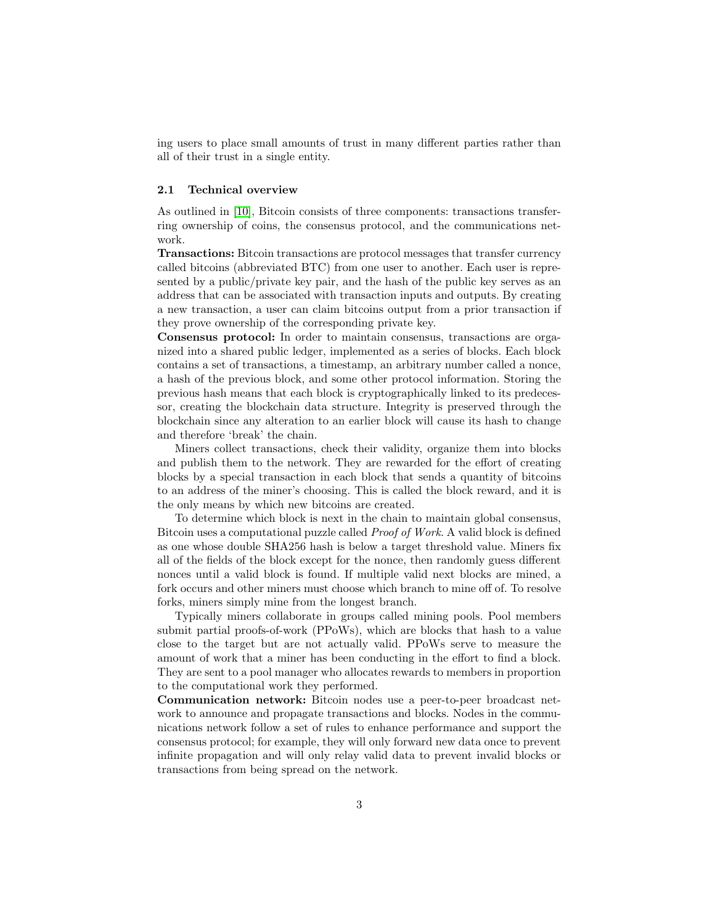ing users to place small amounts of trust in many different parties rather than all of their trust in a single entity.

#### 2.1 Technical overview

As outlined in [\[10\]](#page-18-1), Bitcoin consists of three components: transactions transferring ownership of coins, the consensus protocol, and the communications network.

Transactions: Bitcoin transactions are protocol messages that transfer currency called bitcoins (abbreviated BTC) from one user to another. Each user is represented by a public/private key pair, and the hash of the public key serves as an address that can be associated with transaction inputs and outputs. By creating a new transaction, a user can claim bitcoins output from a prior transaction if they prove ownership of the corresponding private key.

Consensus protocol: In order to maintain consensus, transactions are organized into a shared public ledger, implemented as a series of blocks. Each block contains a set of transactions, a timestamp, an arbitrary number called a nonce, a hash of the previous block, and some other protocol information. Storing the previous hash means that each block is cryptographically linked to its predecessor, creating the blockchain data structure. Integrity is preserved through the blockchain since any alteration to an earlier block will cause its hash to change and therefore 'break' the chain.

Miners collect transactions, check their validity, organize them into blocks and publish them to the network. They are rewarded for the effort of creating blocks by a special transaction in each block that sends a quantity of bitcoins to an address of the miner's choosing. This is called the block reward, and it is the only means by which new bitcoins are created.

To determine which block is next in the chain to maintain global consensus, Bitcoin uses a computational puzzle called Proof of Work. A valid block is defined as one whose double SHA256 hash is below a target threshold value. Miners fix all of the fields of the block except for the nonce, then randomly guess different nonces until a valid block is found. If multiple valid next blocks are mined, a fork occurs and other miners must choose which branch to mine off of. To resolve forks, miners simply mine from the longest branch.

Typically miners collaborate in groups called mining pools. Pool members submit partial proofs-of-work (PPoWs), which are blocks that hash to a value close to the target but are not actually valid. PPoWs serve to measure the amount of work that a miner has been conducting in the effort to find a block. They are sent to a pool manager who allocates rewards to members in proportion to the computational work they performed.

Communication network: Bitcoin nodes use a peer-to-peer broadcast network to announce and propagate transactions and blocks. Nodes in the communications network follow a set of rules to enhance performance and support the consensus protocol; for example, they will only forward new data once to prevent infinite propagation and will only relay valid data to prevent invalid blocks or transactions from being spread on the network.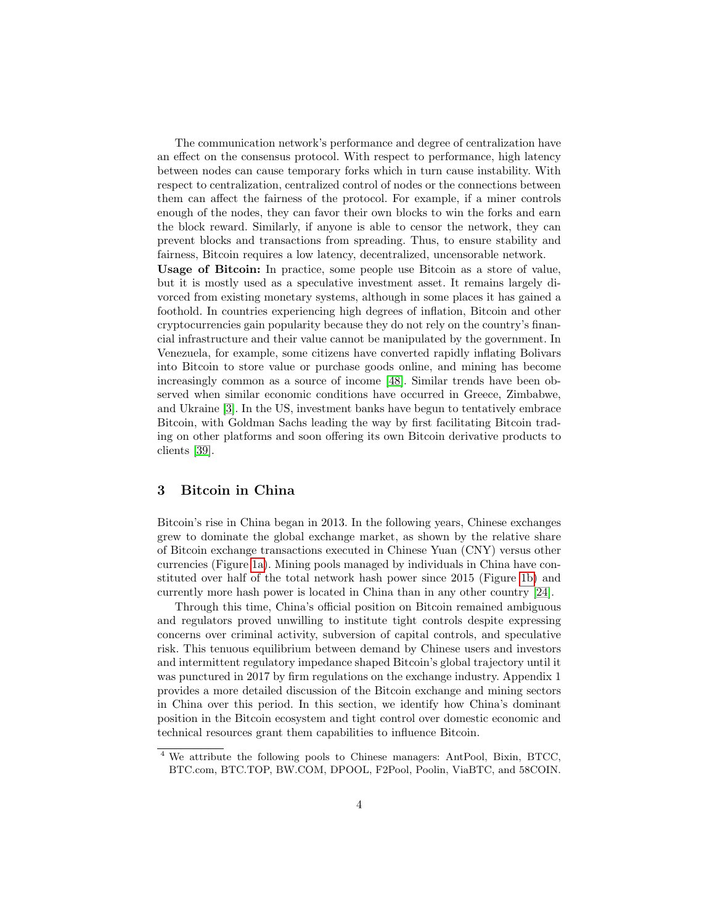The communication network's performance and degree of centralization have an effect on the consensus protocol. With respect to performance, high latency between nodes can cause temporary forks which in turn cause instability. With respect to centralization, centralized control of nodes or the connections between them can affect the fairness of the protocol. For example, if a miner controls enough of the nodes, they can favor their own blocks to win the forks and earn the block reward. Similarly, if anyone is able to censor the network, they can prevent blocks and transactions from spreading. Thus, to ensure stability and fairness, Bitcoin requires a low latency, decentralized, uncensorable network.

Usage of Bitcoin: In practice, some people use Bitcoin as a store of value, but it is mostly used as a speculative investment asset. It remains largely divorced from existing monetary systems, although in some places it has gained a foothold. In countries experiencing high degrees of inflation, Bitcoin and other cryptocurrencies gain popularity because they do not rely on the country's financial infrastructure and their value cannot be manipulated by the government. In Venezuela, for example, some citizens have converted rapidly inflating Bolivars into Bitcoin to store value or purchase goods online, and mining has become increasingly common as a source of income [\[48\]](#page-21-0). Similar trends have been observed when similar economic conditions have occurred in Greece, Zimbabwe, and Ukraine [\[3\]](#page-18-4). In the US, investment banks have begun to tentatively embrace Bitcoin, with Goldman Sachs leading the way by first facilitating Bitcoin trading on other platforms and soon offering its own Bitcoin derivative products to clients [\[39\]](#page-20-1).

# <span id="page-3-0"></span>3 Bitcoin in China

Bitcoin's rise in China began in 2013. In the following years, Chinese exchanges grew to dominate the global exchange market, as shown by the relative share of Bitcoin exchange transactions executed in Chinese Yuan (CNY) versus other currencies (Figure [1a\)](#page-4-0). Mining pools managed by individuals in China have constituted over half of the total network hash power since 2015 (Figure [1b\)](#page-4-1) and currently more hash power is located in China than in any other country [\[24\]](#page-19-0).

Through this time, China's official position on Bitcoin remained ambiguous and regulators proved unwilling to institute tight controls despite expressing concerns over criminal activity, subversion of capital controls, and speculative risk. This tenuous equilibrium between demand by Chinese users and investors and intermittent regulatory impedance shaped Bitcoin's global trajectory until it was punctured in 2017 by firm regulations on the exchange industry. Appendix 1 provides a more detailed discussion of the Bitcoin exchange and mining sectors in China over this period. In this section, we identify how China's dominant position in the Bitcoin ecosystem and tight control over domestic economic and technical resources grant them capabilities to influence Bitcoin.

<span id="page-3-1"></span><sup>4</sup> We attribute the following pools to Chinese managers: AntPool, Bixin, BTCC, BTC.com, BTC.TOP, BW.COM, DPOOL, F2Pool, Poolin, ViaBTC, and 58COIN.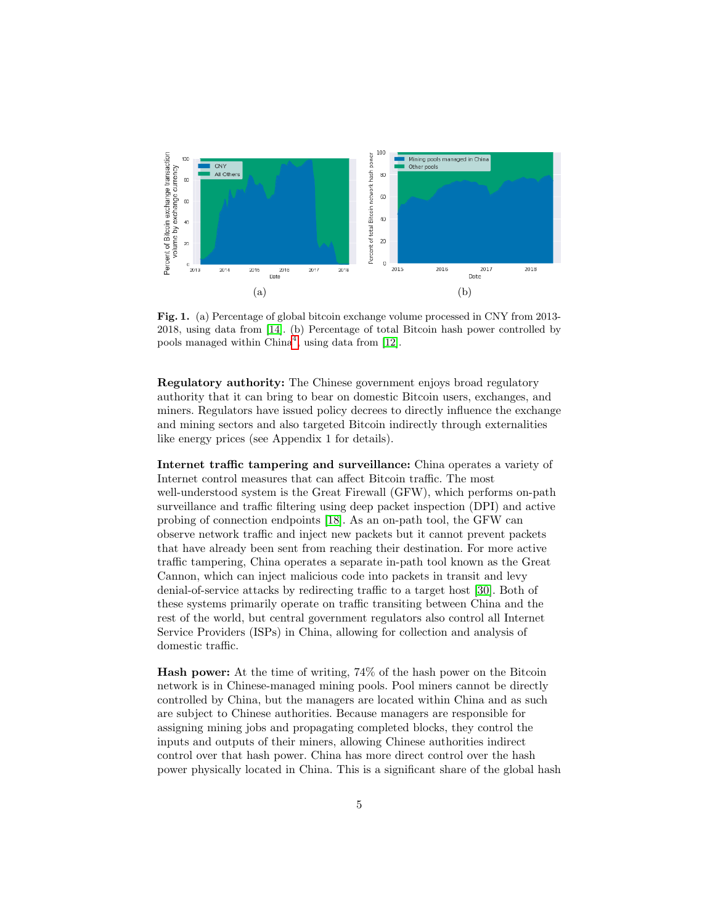<span id="page-4-0"></span>

<span id="page-4-1"></span>Fig. 1. (a) Percentage of global bitcoin exchange volume processed in CNY from 2013- 2018, using data from [\[14\]](#page-18-5). (b) Percentage of total Bitcoin hash power controlled by pools managed within  $China<sup>4</sup>$  $China<sup>4</sup>$  $China<sup>4</sup>$ , using data from [\[12\]](#page-18-6).

Regulatory authority: The Chinese government enjoys broad regulatory authority that it can bring to bear on domestic Bitcoin users, exchanges, and miners. Regulators have issued policy decrees to directly influence the exchange and mining sectors and also targeted Bitcoin indirectly through externalities like energy prices (see Appendix 1 for details).

Internet traffic tampering and surveillance: China operates a variety of Internet control measures that can affect Bitcoin traffic. The most well-understood system is the Great Firewall (GFW), which performs on-path surveillance and traffic filtering using deep packet inspection (DPI) and active probing of connection endpoints [\[18\]](#page-19-1). As an on-path tool, the GFW can observe network traffic and inject new packets but it cannot prevent packets that have already been sent from reaching their destination. For more active traffic tampering, China operates a separate in-path tool known as the Great Cannon, which can inject malicious code into packets in transit and levy denial-of-service attacks by redirecting traffic to a target host [\[30\]](#page-19-2). Both of these systems primarily operate on traffic transiting between China and the rest of the world, but central government regulators also control all Internet Service Providers (ISPs) in China, allowing for collection and analysis of domestic traffic.

Hash power: At the time of writing, 74% of the hash power on the Bitcoin network is in Chinese-managed mining pools. Pool miners cannot be directly controlled by China, but the managers are located within China and as such are subject to Chinese authorities. Because managers are responsible for assigning mining jobs and propagating completed blocks, they control the inputs and outputs of their miners, allowing Chinese authorities indirect control over that hash power. China has more direct control over the hash power physically located in China. This is a significant share of the global hash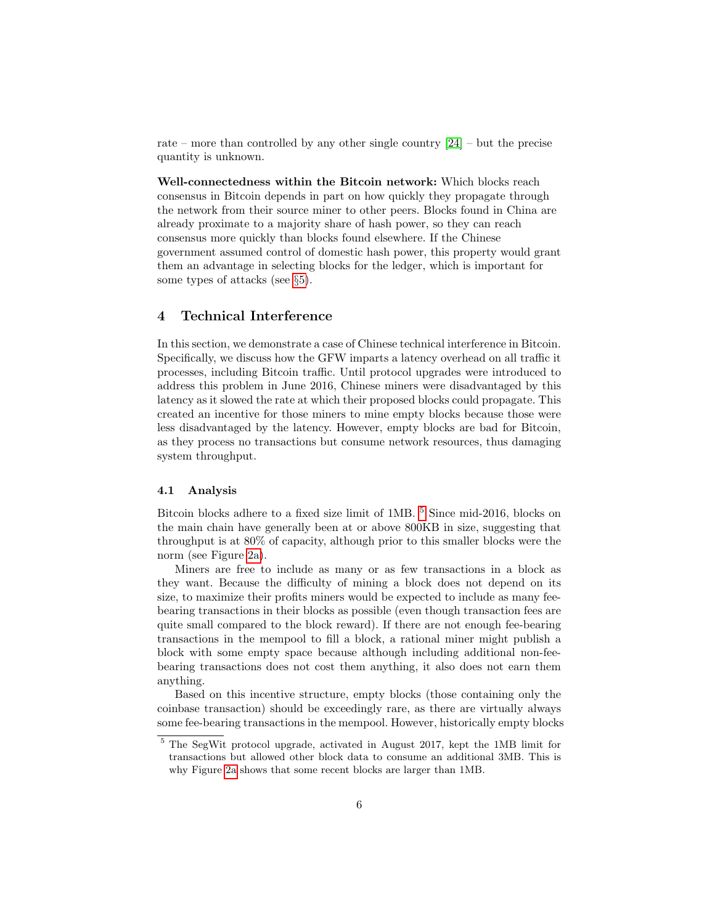rate – more than controlled by any other single country  $[24]$  – but the precise quantity is unknown.

Well-connectedness within the Bitcoin network: Which blocks reach consensus in Bitcoin depends in part on how quickly they propagate through the network from their source miner to other peers. Blocks found in China are already proximate to a majority share of hash power, so they can reach consensus more quickly than blocks found elsewhere. If the Chinese government assumed control of domestic hash power, this property would grant them an advantage in selecting blocks for the ledger, which is important for some types of attacks (see §[5\)](#page-8-0).

# <span id="page-5-0"></span>4 Technical Interference

In this section, we demonstrate a case of Chinese technical interference in Bitcoin. Specifically, we discuss how the GFW imparts a latency overhead on all traffic it processes, including Bitcoin traffic. Until protocol upgrades were introduced to address this problem in June 2016, Chinese miners were disadvantaged by this latency as it slowed the rate at which their proposed blocks could propagate. This created an incentive for those miners to mine empty blocks because those were less disadvantaged by the latency. However, empty blocks are bad for Bitcoin, as they process no transactions but consume network resources, thus damaging system throughput.

#### 4.1 Analysis

Bitcoin blocks adhere to a fixed size limit of 1MB.  $^5$  $^5$  Since mid-2016, blocks on the main chain have generally been at or above 800KB in size, suggesting that throughput is at 80% of capacity, although prior to this smaller blocks were the norm (see Figure [2a\)](#page-6-0).

Miners are free to include as many or as few transactions in a block as they want. Because the difficulty of mining a block does not depend on its size, to maximize their profits miners would be expected to include as many feebearing transactions in their blocks as possible (even though transaction fees are quite small compared to the block reward). If there are not enough fee-bearing transactions in the mempool to fill a block, a rational miner might publish a block with some empty space because although including additional non-feebearing transactions does not cost them anything, it also does not earn them anything.

Based on this incentive structure, empty blocks (those containing only the coinbase transaction) should be exceedingly rare, as there are virtually always some fee-bearing transactions in the mempool. However, historically empty blocks

<span id="page-5-1"></span><sup>5</sup> The SegWit protocol upgrade, activated in August 2017, kept the 1MB limit for transactions but allowed other block data to consume an additional 3MB. This is why Figure [2a](#page-6-0) shows that some recent blocks are larger than 1MB.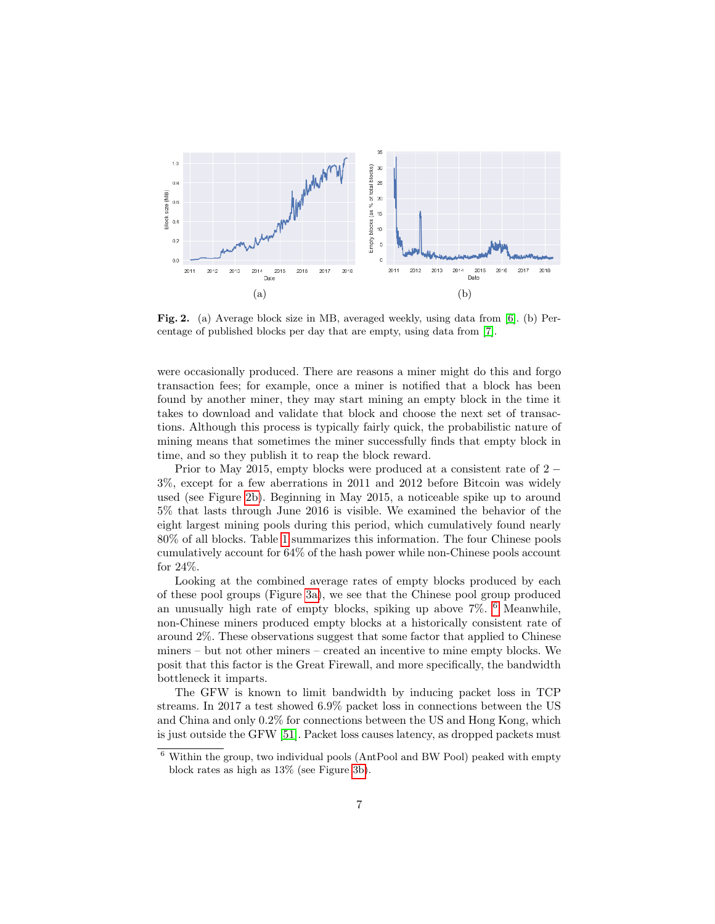<span id="page-6-0"></span>

<span id="page-6-1"></span>Fig. 2. (a) Average block size in MB, averaged weekly, using data from [\[6\]](#page-18-7). (b) Percentage of published blocks per day that are empty, using data from [\[7\]](#page-18-8).

were occasionally produced. There are reasons a miner might do this and forgo transaction fees; for example, once a miner is notified that a block has been found by another miner, they may start mining an empty block in the time it takes to download and validate that block and choose the next set of transactions. Although this process is typically fairly quick, the probabilistic nature of mining means that sometimes the miner successfully finds that empty block in time, and so they publish it to reap the block reward.

Prior to May 2015, empty blocks were produced at a consistent rate of 2 − 3%, except for a few aberrations in 2011 and 2012 before Bitcoin was widely used (see Figure [2b\)](#page-6-1). Beginning in May 2015, a noticeable spike up to around 5% that lasts through June 2016 is visible. We examined the behavior of the eight largest mining pools during this period, which cumulatively found nearly 80% of all blocks. Table [1](#page-7-0) summarizes this information. The four Chinese pools cumulatively account for 64% of the hash power while non-Chinese pools account for 24%.

Looking at the combined average rates of empty blocks produced by each of these pool groups (Figure [3a\)](#page-7-1), we see that the Chinese pool group produced an unusually high rate of empty blocks, spiking up above 7%. [6](#page-6-2) Meanwhile, non-Chinese miners produced empty blocks at a historically consistent rate of around 2%. These observations suggest that some factor that applied to Chinese miners – but not other miners – created an incentive to mine empty blocks. We posit that this factor is the Great Firewall, and more specifically, the bandwidth bottleneck it imparts.

The GFW is known to limit bandwidth by inducing packet loss in TCP streams. In 2017 a test showed 6.9% packet loss in connections between the US and China and only 0.2% for connections between the US and Hong Kong, which is just outside the GFW [\[51\]](#page-21-1). Packet loss causes latency, as dropped packets must

<span id="page-6-2"></span> $6$  Within the group, two individual pools (AntPool and BW Pool) peaked with empty block rates as high as 13% (see Figure [3b\)](#page-7-2).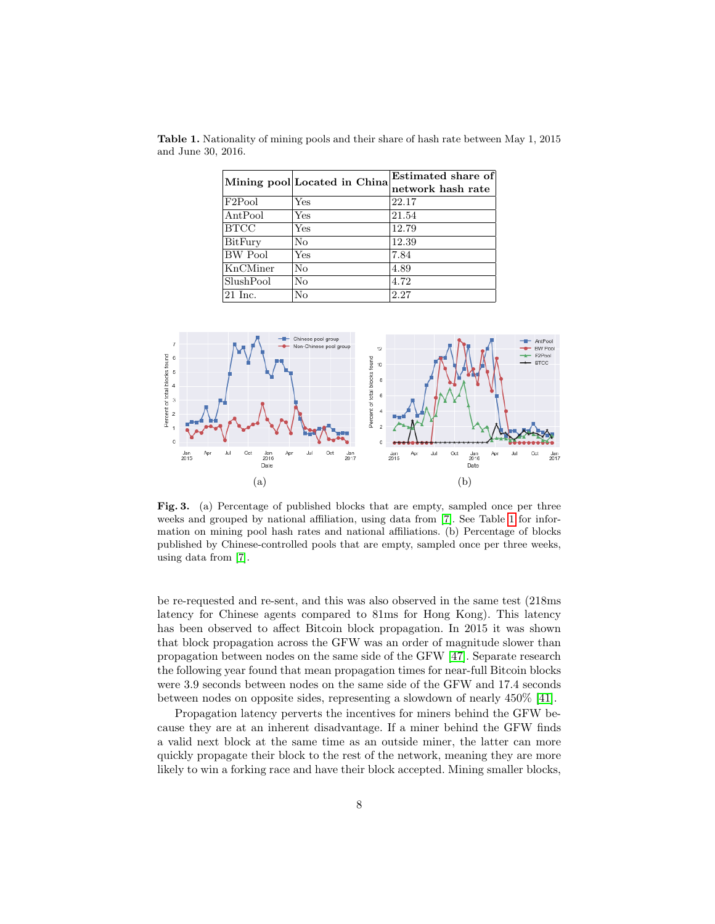<span id="page-7-0"></span>

|                    | Mining pool Located in China | Estimated share of |  |
|--------------------|------------------------------|--------------------|--|
|                    |                              | network hash rate  |  |
| $ {\rm F2Pool} $   | Yes                          | 22.17              |  |
| AntPool            | Yes                          | 21.54              |  |
| <b>BTCC</b>        | Yes                          | 12.79              |  |
| <b>BitFury</b>     | No                           | 12.39              |  |
| BW Pool            | Yes                          | 7.84               |  |
| KnCMiner           | No                           | 4.89               |  |
| SlushPool          | No                           | 4.72               |  |
| $ 21 \text{ Inc.}$ | No                           | 2.27               |  |

Table 1. Nationality of mining pools and their share of hash rate between May 1, 2015 and June 30, 2016.

<span id="page-7-1"></span>

<span id="page-7-2"></span>Fig. 3. (a) Percentage of published blocks that are empty, sampled once per three weeks and grouped by national affiliation, using data from [\[7\]](#page-18-8). See Table [1](#page-7-0) for information on mining pool hash rates and national affiliations. (b) Percentage of blocks published by Chinese-controlled pools that are empty, sampled once per three weeks, using data from [\[7\]](#page-18-8).

be re-requested and re-sent, and this was also observed in the same test (218ms latency for Chinese agents compared to 81ms for Hong Kong). This latency has been observed to affect Bitcoin block propagation. In 2015 it was shown that block propagation across the GFW was an order of magnitude slower than propagation between nodes on the same side of the GFW [\[47\]](#page-20-2). Separate research the following year found that mean propagation times for near-full Bitcoin blocks were 3.9 seconds between nodes on the same side of the GFW and 17.4 seconds between nodes on opposite sides, representing a slowdown of nearly 450% [\[41\]](#page-20-3).

Propagation latency perverts the incentives for miners behind the GFW because they are at an inherent disadvantage. If a miner behind the GFW finds a valid next block at the same time as an outside miner, the latter can more quickly propagate their block to the rest of the network, meaning they are more likely to win a forking race and have their block accepted. Mining smaller blocks,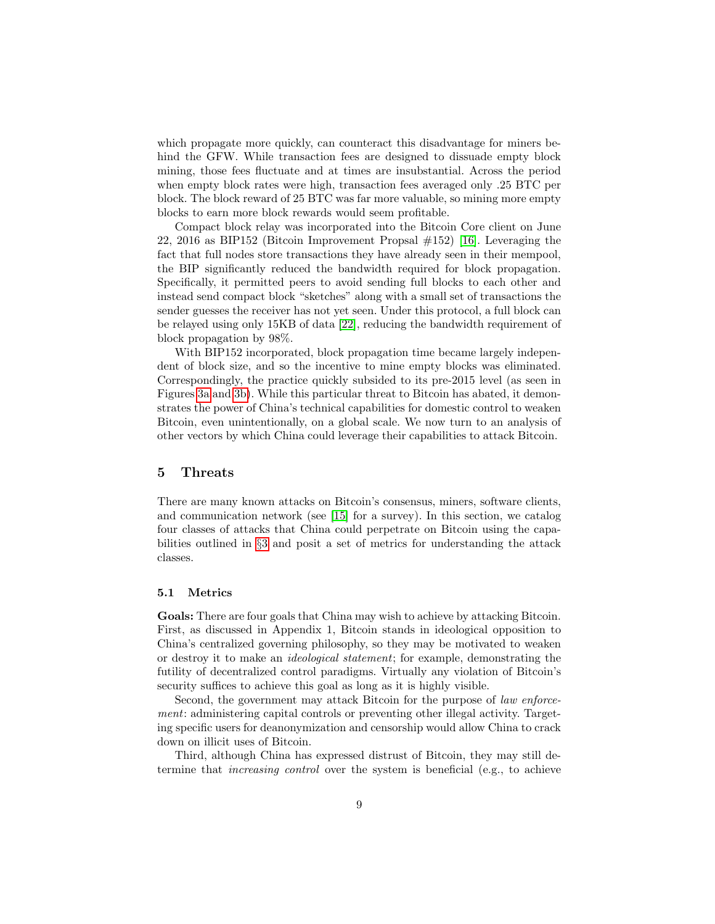which propagate more quickly, can counteract this disadvantage for miners behind the GFW. While transaction fees are designed to dissuade empty block mining, those fees fluctuate and at times are insubstantial. Across the period when empty block rates were high, transaction fees averaged only .25 BTC per block. The block reward of 25 BTC was far more valuable, so mining more empty blocks to earn more block rewards would seem profitable.

Compact block relay was incorporated into the Bitcoin Core client on June 22, 2016 as BIP152 (Bitcoin Improvement Propsal #152) [\[16\]](#page-18-9). Leveraging the fact that full nodes store transactions they have already seen in their mempool, the BIP significantly reduced the bandwidth required for block propagation. Specifically, it permitted peers to avoid sending full blocks to each other and instead send compact block "sketches" along with a small set of transactions the sender guesses the receiver has not yet seen. Under this protocol, a full block can be relayed using only 15KB of data [\[22\]](#page-19-3), reducing the bandwidth requirement of block propagation by 98%.

With BIP152 incorporated, block propagation time became largely independent of block size, and so the incentive to mine empty blocks was eliminated. Correspondingly, the practice quickly subsided to its pre-2015 level (as seen in Figures [3a](#page-7-1) and [3b\)](#page-7-2). While this particular threat to Bitcoin has abated, it demonstrates the power of China's technical capabilities for domestic control to weaken Bitcoin, even unintentionally, on a global scale. We now turn to an analysis of other vectors by which China could leverage their capabilities to attack Bitcoin.

#### <span id="page-8-0"></span>5 Threats

There are many known attacks on Bitcoin's consensus, miners, software clients, and communication network (see [\[15\]](#page-18-10) for a survey). In this section, we catalog four classes of attacks that China could perpetrate on Bitcoin using the capabilities outlined in §[3](#page-3-0) and posit a set of metrics for understanding the attack classes.

#### 5.1 Metrics

Goals: There are four goals that China may wish to achieve by attacking Bitcoin. First, as discussed in Appendix 1, Bitcoin stands in ideological opposition to China's centralized governing philosophy, so they may be motivated to weaken or destroy it to make an ideological statement; for example, demonstrating the futility of decentralized control paradigms. Virtually any violation of Bitcoin's security suffices to achieve this goal as long as it is highly visible.

Second, the government may attack Bitcoin for the purpose of *law enforce*ment: administering capital controls or preventing other illegal activity. Targeting specific users for deanonymization and censorship would allow China to crack down on illicit uses of Bitcoin.

Third, although China has expressed distrust of Bitcoin, they may still determine that increasing control over the system is beneficial (e.g., to achieve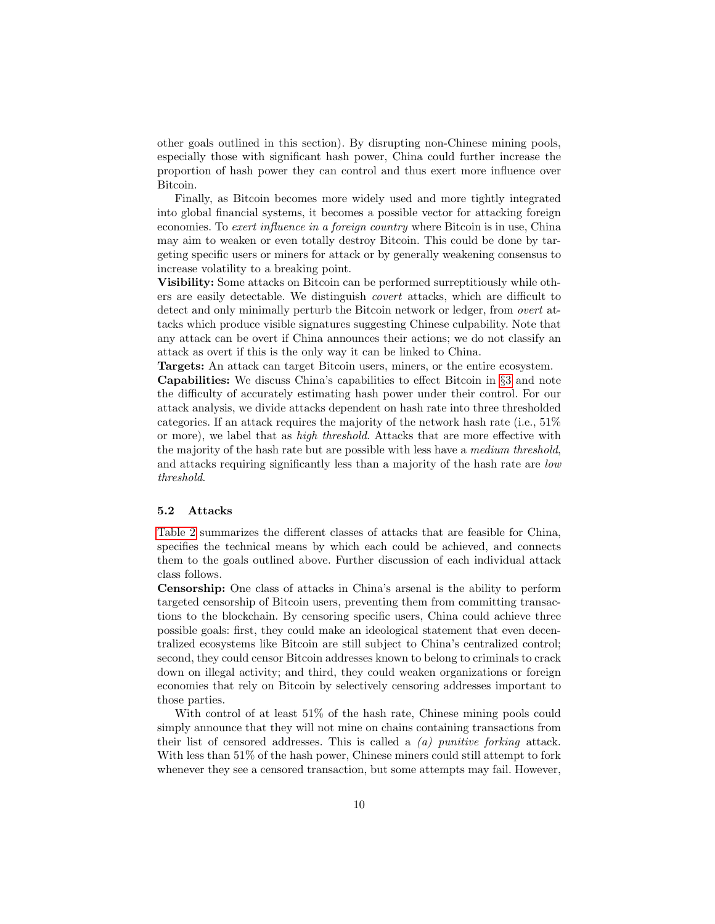other goals outlined in this section). By disrupting non-Chinese mining pools, especially those with significant hash power, China could further increase the proportion of hash power they can control and thus exert more influence over Bitcoin.

Finally, as Bitcoin becomes more widely used and more tightly integrated into global financial systems, it becomes a possible vector for attacking foreign economies. To exert influence in a foreign country where Bitcoin is in use, China may aim to weaken or even totally destroy Bitcoin. This could be done by targeting specific users or miners for attack or by generally weakening consensus to increase volatility to a breaking point.

Visibility: Some attacks on Bitcoin can be performed surreptitiously while others are easily detectable. We distinguish covert attacks, which are difficult to detect and only minimally perturb the Bitcoin network or ledger, from overt attacks which produce visible signatures suggesting Chinese culpability. Note that any attack can be overt if China announces their actions; we do not classify an attack as overt if this is the only way it can be linked to China.

Targets: An attack can target Bitcoin users, miners, or the entire ecosystem.

Capabilities: We discuss China's capabilities to effect Bitcoin in §[3](#page-3-0) and note the difficulty of accurately estimating hash power under their control. For our attack analysis, we divide attacks dependent on hash rate into three thresholded categories. If an attack requires the majority of the network hash rate (i.e., 51% or more), we label that as high threshold. Attacks that are more effective with the majority of the hash rate but are possible with less have a medium threshold, and attacks requiring significantly less than a majority of the hash rate are low threshold.

#### 5.2 Attacks

[Table 2](#page-10-0) summarizes the different classes of attacks that are feasible for China, specifies the technical means by which each could be achieved, and connects them to the goals outlined above. Further discussion of each individual attack class follows.

Censorship: One class of attacks in China's arsenal is the ability to perform targeted censorship of Bitcoin users, preventing them from committing transactions to the blockchain. By censoring specific users, China could achieve three possible goals: first, they could make an ideological statement that even decentralized ecosystems like Bitcoin are still subject to China's centralized control; second, they could censor Bitcoin addresses known to belong to criminals to crack down on illegal activity; and third, they could weaken organizations or foreign economies that rely on Bitcoin by selectively censoring addresses important to those parties.

With control of at least 51% of the hash rate, Chinese mining pools could simply announce that they will not mine on chains containing transactions from their list of censored addresses. This is called a  $(a)$  punitive forking attack. With less than 51% of the hash power, Chinese miners could still attempt to fork whenever they see a censored transaction, but some attempts may fail. However,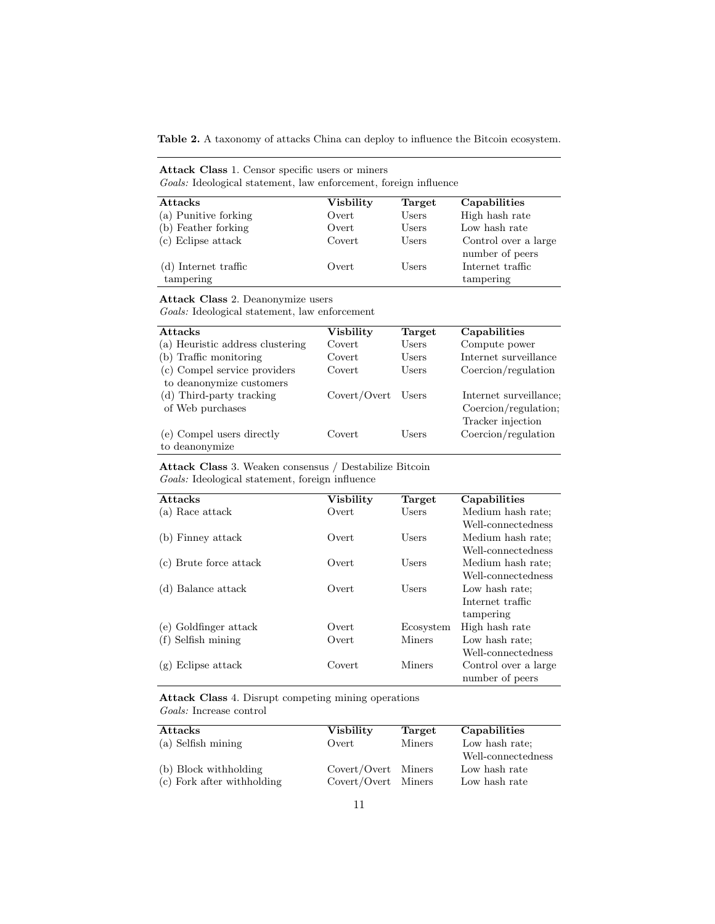<span id="page-10-0"></span>Table 2. A taxonomy of attacks China can deploy to influence the Bitcoin ecosystem.

| <b>Attack Class 1.</b> Censor specific users or miners<br><i>Goals:</i> Ideological statement, law enforcement, foreign influence |                  |        |                                         |
|-----------------------------------------------------------------------------------------------------------------------------------|------------------|--------|-----------------------------------------|
| <b>Attacks</b>                                                                                                                    | <b>Visbility</b> | Target | Capabilities                            |
| (a) Punitive forking                                                                                                              | Overt            | Users  | High hash rate                          |
| (b) Feather forking                                                                                                               | Overt            | Users  | Low hash rate                           |
| (c) Eclipse attack                                                                                                                | Covert           | Users  | Control over a large<br>number of peers |
| (d) Internet traffic<br>tampering                                                                                                 | Overt            | Users  | Internet traffic<br>tampering           |

Attack Class 2. Deanonymize users

Goals: Ideological statement, law enforcement

| <b>Attacks</b>                   | <b>Visbility</b> | Target | Capabilities           |
|----------------------------------|------------------|--------|------------------------|
| (a) Heuristic address clustering | Covert           | Users  | Compute power          |
| (b) Traffic monitoring           | Covert           | Users  | Internet surveillance  |
| (c) Compel service providers     | Covert           | Users  | Coercion/regulation    |
| to deanonymize customers         |                  |        |                        |
| (d) Third-party tracking         | Covert/Overt     | Users  | Internet surveillance; |
| of Web purchases                 |                  |        | Coercion/regulation;   |
|                                  |                  |        | Tracker injection      |
| (e) Compel users directly        | Covert           | Users  | Coercion/regulation    |
| to deanonymize                   |                  |        |                        |

Attack Class 3. Weaken consensus / Destabilize Bitcoin Goals: Ideological statement, foreign influence

| <b>Attacks</b>         | <b>Visbility</b> |               | Capabilities         |
|------------------------|------------------|---------------|----------------------|
|                        |                  | Target        |                      |
| (a) Race attack        | Overt            | Users         | Medium hash rate;    |
|                        |                  |               | Well-connectedness   |
| (b) Finney attack      | Overt            | Users         | Medium hash rate;    |
|                        |                  |               | Well-connectedness   |
| (c) Brute force attack | Overt            | Users         | Medium hash rate;    |
|                        |                  |               | Well-connectedness   |
| (d) Balance attack     | Overt            | Users         | Low hash rate:       |
|                        |                  |               | Internet traffic     |
|                        |                  |               | tampering            |
| (e) Goldfinger attack  | Overt            | Ecosystem     | High hash rate       |
| $(f)$ Selfish mining   | Overt            | <b>Miners</b> | Low hash rate;       |
|                        |                  |               | Well-connectedness   |
| Eclipse attack<br>(g)  | Covert           | Miners        | Control over a large |
|                        |                  |               | number of peers      |

Attack Class 4. Disrupt competing mining operations Goals: Increase control

| <b>Attacks</b>               | Visbility           | Target        | Capabilities       |
|------------------------------|---------------------|---------------|--------------------|
| (a) Selfish mining           | Overt               | <b>Miners</b> | Low hash rate:     |
|                              |                     |               | Well-connectedness |
| (b) Block withholding        | Covert/Overt Miners |               | Low hash rate      |
| $(c)$ Fork after withholding | Covert/Overt Miners |               | Low hash rate      |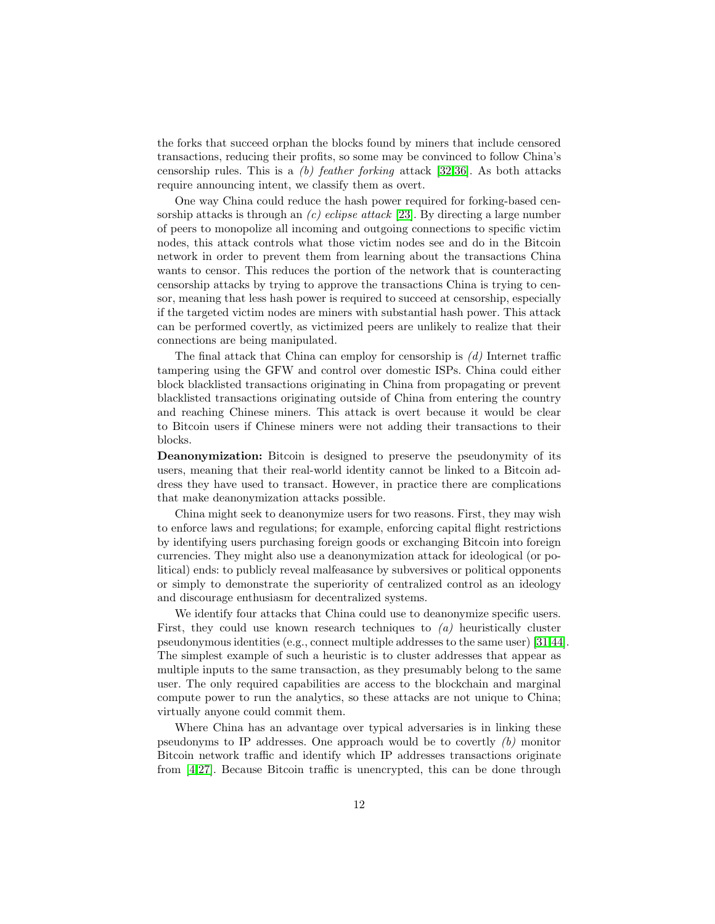the forks that succeed orphan the blocks found by miners that include censored transactions, reducing their profits, so some may be convinced to follow China's censorship rules. This is a  $(b)$  feather forking attack [\[32](#page-20-4)[,36\]](#page-20-5). As both attacks require announcing intent, we classify them as overt.

One way China could reduce the hash power required for forking-based censorship attacks is through an  $(c)$  eclipse attack [\[23\]](#page-19-4). By directing a large number of peers to monopolize all incoming and outgoing connections to specific victim nodes, this attack controls what those victim nodes see and do in the Bitcoin network in order to prevent them from learning about the transactions China wants to censor. This reduces the portion of the network that is counteracting censorship attacks by trying to approve the transactions China is trying to censor, meaning that less hash power is required to succeed at censorship, especially if the targeted victim nodes are miners with substantial hash power. This attack can be performed covertly, as victimized peers are unlikely to realize that their connections are being manipulated.

The final attack that China can employ for censorship is  $(d)$  Internet traffic tampering using the GFW and control over domestic ISPs. China could either block blacklisted transactions originating in China from propagating or prevent blacklisted transactions originating outside of China from entering the country and reaching Chinese miners. This attack is overt because it would be clear to Bitcoin users if Chinese miners were not adding their transactions to their blocks.

Deanonymization: Bitcoin is designed to preserve the pseudonymity of its users, meaning that their real-world identity cannot be linked to a Bitcoin address they have used to transact. However, in practice there are complications that make deanonymization attacks possible.

China might seek to deanonymize users for two reasons. First, they may wish to enforce laws and regulations; for example, enforcing capital flight restrictions by identifying users purchasing foreign goods or exchanging Bitcoin into foreign currencies. They might also use a deanonymization attack for ideological (or political) ends: to publicly reveal malfeasance by subversives or political opponents or simply to demonstrate the superiority of centralized control as an ideology and discourage enthusiasm for decentralized systems.

We identify four attacks that China could use to deanonymize specific users. First, they could use known research techniques to  $(a)$  heuristically cluster pseudonymous identities (e.g., connect multiple addresses to the same user) [\[31,](#page-19-5)[44\]](#page-20-6). The simplest example of such a heuristic is to cluster addresses that appear as multiple inputs to the same transaction, as they presumably belong to the same user. The only required capabilities are access to the blockchain and marginal compute power to run the analytics, so these attacks are not unique to China; virtually anyone could commit them.

Where China has an advantage over typical adversaries is in linking these pseudonyms to IP addresses. One approach would be to covertly (b) monitor Bitcoin network traffic and identify which IP addresses transactions originate from [\[4,](#page-18-11)[27\]](#page-19-6). Because Bitcoin traffic is unencrypted, this can be done through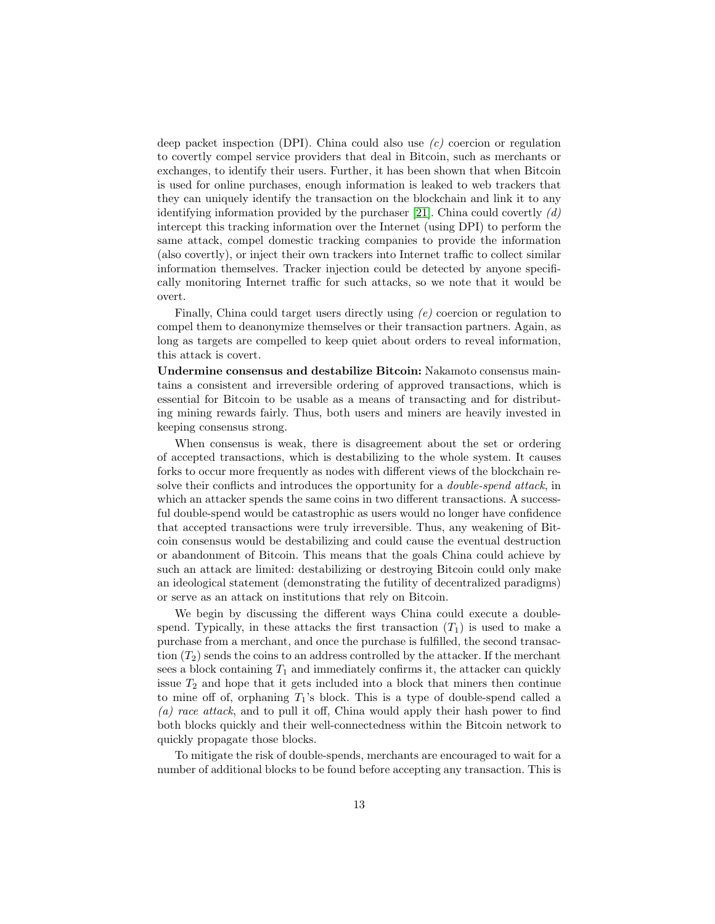deep packet inspection (DPI). China could also use  $(c)$  coercion or regulation to covertly compel service providers that deal in Bitcoin, such as merchants or exchanges, to identify their users. Further, it has been shown that when Bitcoin is used for online purchases, enough information is leaked to web trackers that they can uniquely identify the transaction on the blockchain and link it to any identifying information provided by the purchaser [\[21\]](#page-19-7). China could covertly  $(d)$ intercept this tracking information over the Internet (using DPI) to perform the same attack, compel domestic tracking companies to provide the information (also covertly), or inject their own trackers into Internet traffic to collect similar information themselves. Tracker injection could be detected by anyone specifically monitoring Internet traffic for such attacks, so we note that it would be overt.

Finally, China could target users directly using (e) coercion or regulation to compel them to deanonymize themselves or their transaction partners. Again, as long as targets are compelled to keep quiet about orders to reveal information, this attack is covert.

Undermine consensus and destabilize Bitcoin: Nakamoto consensus maintains a consistent and irreversible ordering of approved transactions, which is essential for Bitcoin to be usable as a means of transacting and for distributing mining rewards fairly. Thus, both users and miners are heavily invested in keeping consensus strong.

When consensus is weak, there is disagreement about the set or ordering of accepted transactions, which is destabilizing to the whole system. It causes forks to occur more frequently as nodes with different views of the blockchain resolve their conflicts and introduces the opportunity for a *double-spend attack*, in which an attacker spends the same coins in two different transactions. A successful double-spend would be catastrophic as users would no longer have confidence that accepted transactions were truly irreversible. Thus, any weakening of Bitcoin consensus would be destabilizing and could cause the eventual destruction or abandonment of Bitcoin. This means that the goals China could achieve by such an attack are limited: destabilizing or destroying Bitcoin could only make an ideological statement (demonstrating the futility of decentralized paradigms) or serve as an attack on institutions that rely on Bitcoin.

We begin by discussing the different ways China could execute a doublespend. Typically, in these attacks the first transaction  $(T_1)$  is used to make a purchase from a merchant, and once the purchase is fulfilled, the second transaction  $(T_2)$  sends the coins to an address controlled by the attacker. If the merchant sees a block containing  $T_1$  and immediately confirms it, the attacker can quickly issue  $T_2$  and hope that it gets included into a block that miners then continue to mine off of, orphaning  $T_1$ 's block. This is a type of double-spend called a (a) race attack, and to pull it off, China would apply their hash power to find both blocks quickly and their well-connectedness within the Bitcoin network to quickly propagate those blocks.

To mitigate the risk of double-spends, merchants are encouraged to wait for a number of additional blocks to be found before accepting any transaction. This is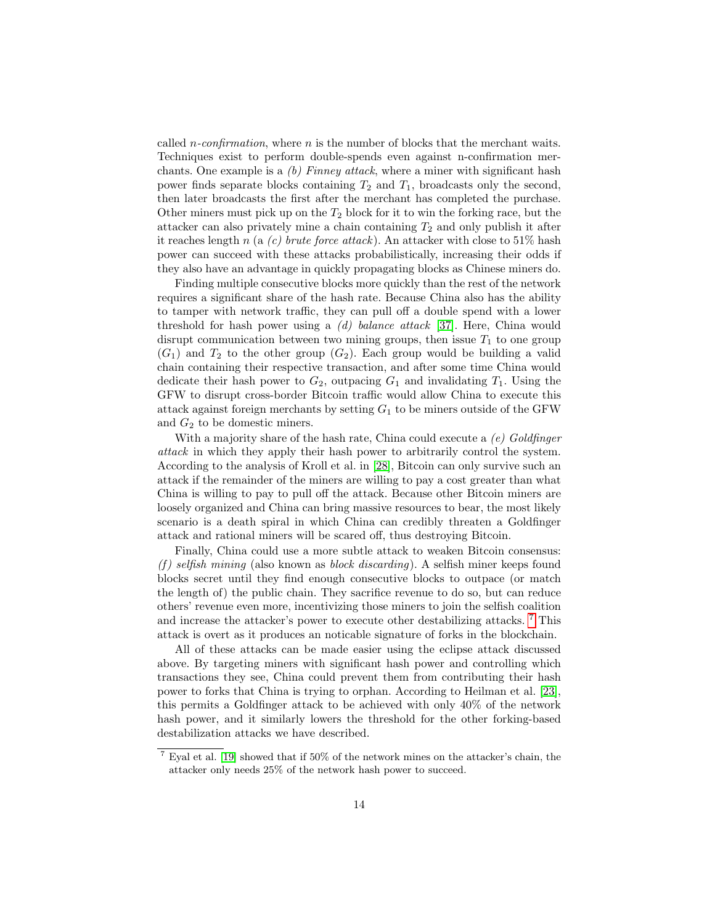called *n*-confirmation, where *n* is the number of blocks that the merchant waits. Techniques exist to perform double-spends even against n-confirmation merchants. One example is a  $(b)$  Finney attack, where a miner with significant hash power finds separate blocks containing  $T_2$  and  $T_1$ , broadcasts only the second, then later broadcasts the first after the merchant has completed the purchase. Other miners must pick up on the  $T_2$  block for it to win the forking race, but the attacker can also privately mine a chain containing  $T_2$  and only publish it after it reaches length n (a  $(c)$  brute force attack). An attacker with close to 51% hash power can succeed with these attacks probabilistically, increasing their odds if they also have an advantage in quickly propagating blocks as Chinese miners do.

Finding multiple consecutive blocks more quickly than the rest of the network requires a significant share of the hash rate. Because China also has the ability to tamper with network traffic, they can pull off a double spend with a lower threshold for hash power using a (d) balance attack [\[37\]](#page-20-7). Here, China would disrupt communication between two mining groups, then issue  $T_1$  to one group  $(G_1)$  and  $T_2$  to the other group  $(G_2)$ . Each group would be building a valid chain containing their respective transaction, and after some time China would dedicate their hash power to  $G_2$ , outpacing  $G_1$  and invalidating  $T_1$ . Using the GFW to disrupt cross-border Bitcoin traffic would allow China to execute this attack against foreign merchants by setting  $G_1$  to be miners outside of the GFW and  $G_2$  to be domestic miners.

With a majority share of the hash rate, China could execute a  $(e)$  Goldfinger attack in which they apply their hash power to arbitrarily control the system. According to the analysis of Kroll et al. in [\[28\]](#page-19-8), Bitcoin can only survive such an attack if the remainder of the miners are willing to pay a cost greater than what China is willing to pay to pull off the attack. Because other Bitcoin miners are loosely organized and China can bring massive resources to bear, the most likely scenario is a death spiral in which China can credibly threaten a Goldfinger attack and rational miners will be scared off, thus destroying Bitcoin.

Finally, China could use a more subtle attack to weaken Bitcoin consensus: (f) selfish mining (also known as block discarding). A selfish miner keeps found blocks secret until they find enough consecutive blocks to outpace (or match the length of) the public chain. They sacrifice revenue to do so, but can reduce others' revenue even more, incentivizing those miners to join the selfish coalition and increase the attacker's power to execute other destabilizing attacks. <sup>[7](#page-13-0)</sup> This attack is overt as it produces an noticable signature of forks in the blockchain.

All of these attacks can be made easier using the eclipse attack discussed above. By targeting miners with significant hash power and controlling which transactions they see, China could prevent them from contributing their hash power to forks that China is trying to orphan. According to Heilman et al. [\[23\]](#page-19-4), this permits a Goldfinger attack to be achieved with only 40% of the network hash power, and it similarly lowers the threshold for the other forking-based destabilization attacks we have described.

<span id="page-13-0"></span> $7$  Eyal et al. [\[19\]](#page-19-9) showed that if 50% of the network mines on the attacker's chain, the attacker only needs 25% of the network hash power to succeed.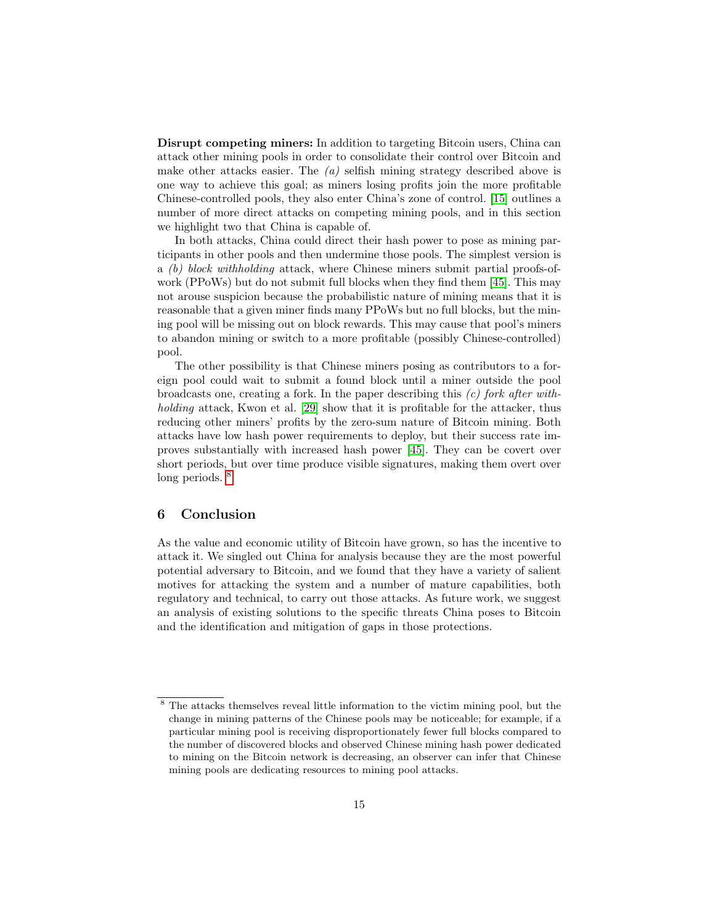Disrupt competing miners: In addition to targeting Bitcoin users, China can attack other mining pools in order to consolidate their control over Bitcoin and make other attacks easier. The  $(a)$  selfish mining strategy described above is one way to achieve this goal; as miners losing profits join the more profitable Chinese-controlled pools, they also enter China's zone of control. [\[15\]](#page-18-10) outlines a number of more direct attacks on competing mining pools, and in this section we highlight two that China is capable of.

In both attacks, China could direct their hash power to pose as mining participants in other pools and then undermine those pools. The simplest version is a (b) block withholding attack, where Chinese miners submit partial proofs-ofwork (PPoWs) but do not submit full blocks when they find them [\[45\]](#page-20-8). This may not arouse suspicion because the probabilistic nature of mining means that it is reasonable that a given miner finds many PPoWs but no full blocks, but the mining pool will be missing out on block rewards. This may cause that pool's miners to abandon mining or switch to a more profitable (possibly Chinese-controlled) pool.

The other possibility is that Chinese miners posing as contributors to a foreign pool could wait to submit a found block until a miner outside the pool broadcasts one, creating a fork. In the paper describing this  $(c)$  fork after with-holding attack, Kwon et al. [\[29\]](#page-19-10) show that it is profitable for the attacker, thus reducing other miners' profits by the zero-sum nature of Bitcoin mining. Both attacks have low hash power requirements to deploy, but their success rate improves substantially with increased hash power [\[45\]](#page-20-8). They can be covert over short periods, but over time produce visible signatures, making them overt over long periods. <sup>[8](#page-14-1)</sup>

# <span id="page-14-0"></span>6 Conclusion

As the value and economic utility of Bitcoin have grown, so has the incentive to attack it. We singled out China for analysis because they are the most powerful potential adversary to Bitcoin, and we found that they have a variety of salient motives for attacking the system and a number of mature capabilities, both regulatory and technical, to carry out those attacks. As future work, we suggest an analysis of existing solutions to the specific threats China poses to Bitcoin and the identification and mitigation of gaps in those protections.

<span id="page-14-1"></span><sup>8</sup> The attacks themselves reveal little information to the victim mining pool, but the change in mining patterns of the Chinese pools may be noticeable; for example, if a particular mining pool is receiving disproportionately fewer full blocks compared to the number of discovered blocks and observed Chinese mining hash power dedicated to mining on the Bitcoin network is decreasing, an observer can infer that Chinese mining pools are dedicating resources to mining pool attacks.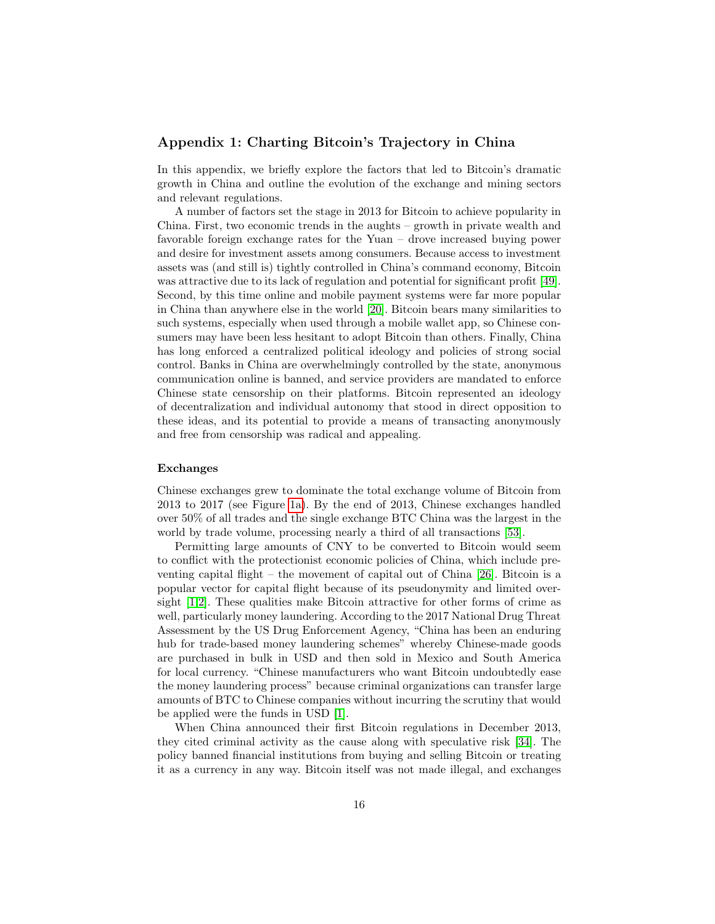# Appendix 1: Charting Bitcoin's Trajectory in China

In this appendix, we briefly explore the factors that led to Bitcoin's dramatic growth in China and outline the evolution of the exchange and mining sectors and relevant regulations.

A number of factors set the stage in 2013 for Bitcoin to achieve popularity in China. First, two economic trends in the aughts – growth in private wealth and favorable foreign exchange rates for the Yuan – drove increased buying power and desire for investment assets among consumers. Because access to investment assets was (and still is) tightly controlled in China's command economy, Bitcoin was attractive due to its lack of regulation and potential for significant profit [\[49\]](#page-21-2). Second, by this time online and mobile payment systems were far more popular in China than anywhere else in the world [\[20\]](#page-19-11). Bitcoin bears many similarities to such systems, especially when used through a mobile wallet app, so Chinese consumers may have been less hesitant to adopt Bitcoin than others. Finally, China has long enforced a centralized political ideology and policies of strong social control. Banks in China are overwhelmingly controlled by the state, anonymous communication online is banned, and service providers are mandated to enforce Chinese state censorship on their platforms. Bitcoin represented an ideology of decentralization and individual autonomy that stood in direct opposition to these ideas, and its potential to provide a means of transacting anonymously and free from censorship was radical and appealing.

#### Exchanges

Chinese exchanges grew to dominate the total exchange volume of Bitcoin from 2013 to 2017 (see Figure [1a\)](#page-4-0). By the end of 2013, Chinese exchanges handled over 50% of all trades and the single exchange BTC China was the largest in the world by trade volume, processing nearly a third of all transactions [\[53\]](#page-21-3).

Permitting large amounts of CNY to be converted to Bitcoin would seem to conflict with the protectionist economic policies of China, which include preventing capital flight – the movement of capital out of China [\[26\]](#page-19-12). Bitcoin is a popular vector for capital flight because of its pseudonymity and limited oversight [\[1](#page-18-12)[,2\]](#page-18-13). These qualities make Bitcoin attractive for other forms of crime as well, particularly money laundering. According to the 2017 National Drug Threat Assessment by the US Drug Enforcement Agency, "China has been an enduring hub for trade-based money laundering schemes" whereby Chinese-made goods are purchased in bulk in USD and then sold in Mexico and South America for local currency. "Chinese manufacturers who want Bitcoin undoubtedly ease the money laundering process" because criminal organizations can transfer large amounts of BTC to Chinese companies without incurring the scrutiny that would be applied were the funds in USD [\[1\]](#page-18-12).

When China announced their first Bitcoin regulations in December 2013, they cited criminal activity as the cause along with speculative risk [\[34\]](#page-20-9). The policy banned financial institutions from buying and selling Bitcoin or treating it as a currency in any way. Bitcoin itself was not made illegal, and exchanges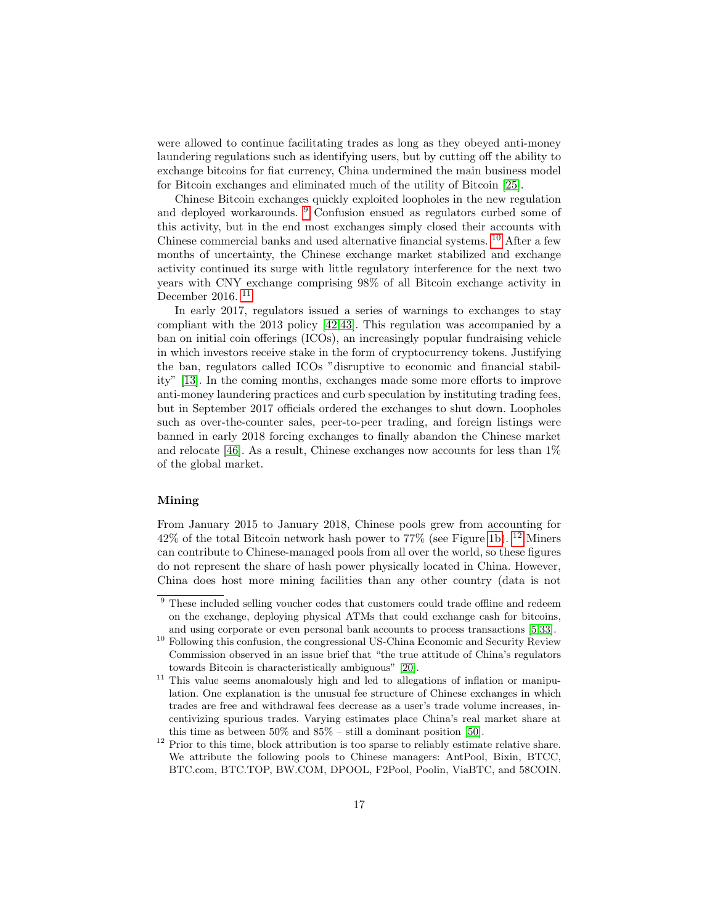were allowed to continue facilitating trades as long as they obeyed anti-money laundering regulations such as identifying users, but by cutting off the ability to exchange bitcoins for fiat currency, China undermined the main business model for Bitcoin exchanges and eliminated much of the utility of Bitcoin [\[25\]](#page-19-13).

Chinese Bitcoin exchanges quickly exploited loopholes in the new regulation and deployed workarounds. [9](#page-16-0) Confusion ensued as regulators curbed some of this activity, but in the end most exchanges simply closed their accounts with Chinese commercial banks and used alternative financial systems. [10](#page-16-1) After a few months of uncertainty, the Chinese exchange market stabilized and exchange activity continued its surge with little regulatory interference for the next two years with CNY exchange comprising 98% of all Bitcoin exchange activity in December 2016. [11](#page-16-2)

In early 2017, regulators issued a series of warnings to exchanges to stay compliant with the 2013 policy [\[42,](#page-20-10)[43\]](#page-20-11). This regulation was accompanied by a ban on initial coin offerings (ICOs), an increasingly popular fundraising vehicle in which investors receive stake in the form of cryptocurrency tokens. Justifying the ban, regulators called ICOs "disruptive to economic and financial stability" [\[13\]](#page-18-14). In the coming months, exchanges made some more efforts to improve anti-money laundering practices and curb speculation by instituting trading fees, but in September 2017 officials ordered the exchanges to shut down. Loopholes such as over-the-counter sales, peer-to-peer trading, and foreign listings were banned in early 2018 forcing exchanges to finally abandon the Chinese market and relocate [\[46\]](#page-20-12). As a result, Chinese exchanges now accounts for less than 1% of the global market.

### Mining

From January 2015 to January 2018, Chinese pools grew from accounting for  $42\%$  of the total Bitcoin network hash power to 77% (see Figure [1b\)](#page-4-1). <sup>[12](#page-16-3)</sup> Miners can contribute to Chinese-managed pools from all over the world, so these figures do not represent the share of hash power physically located in China. However, China does host more mining facilities than any other country (data is not

<span id="page-16-0"></span> $\overline{9}$  These included selling voucher codes that customers could trade offline and redeem on the exchange, deploying physical ATMs that could exchange cash for bitcoins, and using corporate or even personal bank accounts to process transactions [\[5,](#page-18-15)[33\]](#page-20-13).

<span id="page-16-1"></span> $^{10}$  Following this confusion, the congressional US-China Economic and Security Review Commission observed in an issue brief that "the true attitude of China's regulators towards Bitcoin is characteristically ambiguous" [\[20\]](#page-19-11).

<span id="page-16-2"></span><sup>&</sup>lt;sup>11</sup> This value seems anomalously high and led to allegations of inflation or manipulation. One explanation is the unusual fee structure of Chinese exchanges in which trades are free and withdrawal fees decrease as a user's trade volume increases, incentivizing spurious trades. Varying estimates place China's real market share at this time as between 50% and 85% – still a dominant position [\[50\]](#page-21-4).

<span id="page-16-3"></span><sup>&</sup>lt;sup>12</sup> Prior to this time, block attribution is too sparse to reliably estimate relative share. We attribute the following pools to Chinese managers: AntPool, Bixin, BTCC, BTC.com, BTC.TOP, BW.COM, DPOOL, F2Pool, Poolin, ViaBTC, and 58COIN.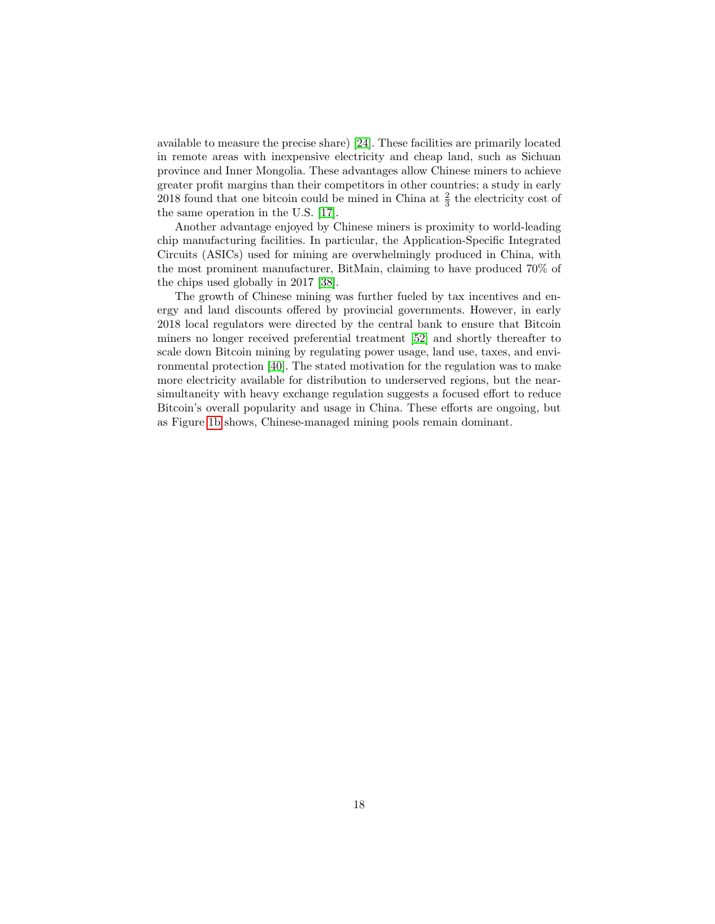available to measure the precise share) [\[24\]](#page-19-0). These facilities are primarily located in remote areas with inexpensive electricity and cheap land, such as Sichuan province and Inner Mongolia. These advantages allow Chinese miners to achieve greater profit margins than their competitors in other countries; a study in early 2018 found that one bitcoin could be mined in China at  $\frac{2}{3}$  the electricity cost of the same operation in the U.S. [\[17\]](#page-18-16).

Another advantage enjoyed by Chinese miners is proximity to world-leading chip manufacturing facilities. In particular, the Application-Specific Integrated Circuits (ASICs) used for mining are overwhelmingly produced in China, with the most prominent manufacturer, BitMain, claiming to have produced 70% of the chips used globally in 2017 [\[38\]](#page-20-14).

The growth of Chinese mining was further fueled by tax incentives and energy and land discounts offered by provincial governments. However, in early 2018 local regulators were directed by the central bank to ensure that Bitcoin miners no longer received preferential treatment [\[52\]](#page-21-5) and shortly thereafter to scale down Bitcoin mining by regulating power usage, land use, taxes, and environmental protection [\[40\]](#page-20-15). The stated motivation for the regulation was to make more electricity available for distribution to underserved regions, but the nearsimultaneity with heavy exchange regulation suggests a focused effort to reduce Bitcoin's overall popularity and usage in China. These efforts are ongoing, but as Figure [1b](#page-4-1) shows, Chinese-managed mining pools remain dominant.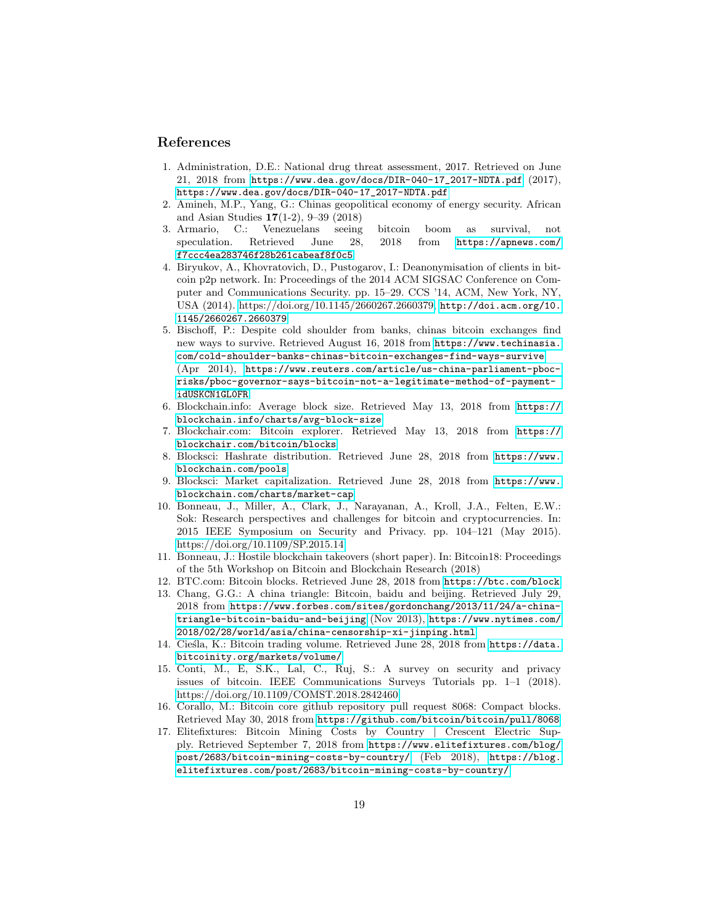### References

- <span id="page-18-12"></span>1. Administration, D.E.: National drug threat assessment, 2017. Retrieved on June 21, 2018 from [https://www.dea.gov/docs/DIR-040-17\\_2017-NDTA.pdf](https://www.dea.gov/docs/DIR-040-17_2017-NDTA.pdf) (2017), [https://www.dea.gov/docs/DIR-040-17\\_2017-NDTA.pdf](https://www.dea.gov/docs/DIR-040-17_2017-NDTA.pdf)
- <span id="page-18-13"></span>2. Amineh, M.P., Yang, G.: Chinas geopolitical economy of energy security. African and Asian Studies 17(1-2), 9–39 (2018)
- <span id="page-18-4"></span>3. Armario, C.: Venezuelans seeing bitcoin boom as survival, not speculation. Retrieved June 28, 2018 from [https://apnews.com/](https://apnews.com/f7ccc4ea283746f28b261cabeaf8f0c5) [f7ccc4ea283746f28b261cabeaf8f0c5](https://apnews.com/f7ccc4ea283746f28b261cabeaf8f0c5)
- <span id="page-18-11"></span>4. Biryukov, A., Khovratovich, D., Pustogarov, I.: Deanonymisation of clients in bitcoin p2p network. In: Proceedings of the 2014 ACM SIGSAC Conference on Computer and Communications Security. pp. 15–29. CCS '14, ACM, New York, NY, USA (2014). [https://doi.org/10.1145/2660267.2660379,](https://doi.org/10.1145/2660267.2660379) [http://doi.acm.org/10.](http://doi.acm.org/10.1145/2660267.2660379) [1145/2660267.2660379](http://doi.acm.org/10.1145/2660267.2660379)
- <span id="page-18-15"></span>5. Bischoff, P.: Despite cold shoulder from banks, chinas bitcoin exchanges find new ways to survive. Retrieved August 16, 2018 from [https://www.techinasia.]( https://www.techinasia.com/cold-shoulder-banks-chinas-bitcoin-exchanges-find-ways-survive) [com/cold-shoulder-banks-chinas-bitcoin-exchanges-find-ways-survive]( https://www.techinasia.com/cold-shoulder-banks-chinas-bitcoin-exchanges-find-ways-survive) (Apr 2014), [https://www.reuters.com/article/us-china-parliament-pboc](https://www.reuters.com/article/us-china-parliament-pboc-risks/pboc-governor-says-bitcoin-not-a-legitimate-method-of-payment-idUSKCN1GL0FR)[risks/pboc-governor-says-bitcoin-not-a-legitimate-method-of-payment](https://www.reuters.com/article/us-china-parliament-pboc-risks/pboc-governor-says-bitcoin-not-a-legitimate-method-of-payment-idUSKCN1GL0FR)[idUSKCN1GL0FR](https://www.reuters.com/article/us-china-parliament-pboc-risks/pboc-governor-says-bitcoin-not-a-legitimate-method-of-payment-idUSKCN1GL0FR)
- <span id="page-18-7"></span>6. Blockchain.info: Average block size. Retrieved May 13, 2018 from [https://](https://blockchain.info/charts/avg-block-size) [blockchain.info/charts/avg-block-size](https://blockchain.info/charts/avg-block-size)
- <span id="page-18-8"></span>7. Blockchair.com: Bitcoin explorer. Retrieved May 13, 2018 from [https://](https://blockchair.com/bitcoin/blocks) [blockchair.com/bitcoin/blocks](https://blockchair.com/bitcoin/blocks)
- <span id="page-18-3"></span>8. Blocksci: Hashrate distribution. Retrieved June 28, 2018 from [https://www.](https://www.blockchain.com/pools) [blockchain.com/pools](https://www.blockchain.com/pools)
- <span id="page-18-0"></span>9. Blocksci: Market capitalization. Retrieved June 28, 2018 from [https://www.](https://www.blockchain.com/charts/market-cap) [blockchain.com/charts/market-cap](https://www.blockchain.com/charts/market-cap)
- <span id="page-18-1"></span>10. Bonneau, J., Miller, A., Clark, J., Narayanan, A., Kroll, J.A., Felten, E.W.: Sok: Research perspectives and challenges for bitcoin and cryptocurrencies. In: 2015 IEEE Symposium on Security and Privacy. pp. 104–121 (May 2015). <https://doi.org/10.1109/SP.2015.14>
- <span id="page-18-2"></span>11. Bonneau, J.: Hostile blockchain takeovers (short paper). In: Bitcoin18: Proceedings of the 5th Workshop on Bitcoin and Blockchain Research (2018)
- <span id="page-18-6"></span>12. BTC.com: Bitcoin blocks. Retrieved June 28, 2018 from <https://btc.com/block>
- <span id="page-18-14"></span>13. Chang, G.G.: A china triangle: Bitcoin, baidu and beijing. Retrieved July 29, 2018 from [https://www.forbes.com/sites/gordonchang/2013/11/24/a-china](https://www.forbes.com/sites/gordonchang/2013/11/24/a-china-triangle-bitcoin-baidu-and-beijing)[triangle-bitcoin-baidu-and-beijing](https://www.forbes.com/sites/gordonchang/2013/11/24/a-china-triangle-bitcoin-baidu-and-beijing) (Nov 2013), [https://www.nytimes.com/](https://www.nytimes.com/2018/02/28/world/asia/china-censorship-xi-jinping.html) [2018/02/28/world/asia/china-censorship-xi-jinping.html](https://www.nytimes.com/2018/02/28/world/asia/china-censorship-xi-jinping.html)
- <span id="page-18-5"></span>14. Cieśla, K.: Bitcoin trading volume. Retrieved June 28, 2018 from [https://data.](https://data.bitcoinity.org/markets/volume/) [bitcoinity.org/markets/volume/](https://data.bitcoinity.org/markets/volume/)
- <span id="page-18-10"></span>15. Conti, M., E, S.K., Lal, C., Ruj, S.: A survey on security and privacy issues of bitcoin. IEEE Communications Surveys Tutorials pp. 1–1 (2018). <https://doi.org/10.1109/COMST.2018.2842460>
- <span id="page-18-9"></span>16. Corallo, M.: Bitcoin core github repository pull request 8068: Compact blocks. Retrieved May 30, 2018 from <https://github.com/bitcoin/bitcoin/pull/8068>
- <span id="page-18-16"></span>17. Elitefixtures: Bitcoin Mining Costs by Country | Crescent Electric Supply. Retrieved September 7, 2018 from [https://www.elitefixtures.com/blog/](https://www.elitefixtures.com/blog/post/2683/bitcoin-mining-costs-by-country/) [post/2683/bitcoin-mining-costs-by-country/](https://www.elitefixtures.com/blog/post/2683/bitcoin-mining-costs-by-country/) (Feb 2018), [https://blog.](https://blog.elitefixtures.com/post/2683/bitcoin-mining-costs-by-country/) [elitefixtures.com/post/2683/bitcoin-mining-costs-by-country/](https://blog.elitefixtures.com/post/2683/bitcoin-mining-costs-by-country/)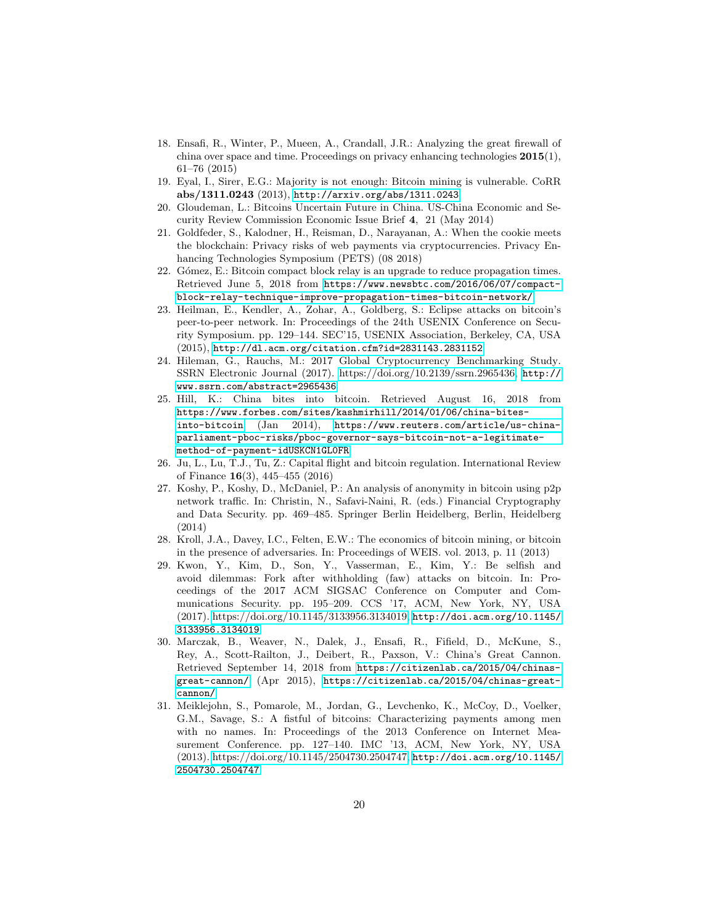- <span id="page-19-1"></span>18. Ensafi, R., Winter, P., Mueen, A., Crandall, J.R.: Analyzing the great firewall of china over space and time. Proceedings on privacy enhancing technologies  $2015(1)$ , 61–76 (2015)
- <span id="page-19-9"></span>19. Eyal, I., Sirer, E.G.: Majority is not enough: Bitcoin mining is vulnerable. CoRR abs/1311.0243 (2013), <http://arxiv.org/abs/1311.0243>
- <span id="page-19-11"></span>20. Gloudeman, L.: Bitcoins Uncertain Future in China. US-China Economic and Security Review Commission Economic Issue Brief 4, 21 (May 2014)
- <span id="page-19-7"></span>21. Goldfeder, S., Kalodner, H., Reisman, D., Narayanan, A.: When the cookie meets the blockchain: Privacy risks of web payments via cryptocurrencies. Privacy Enhancing Technologies Symposium (PETS) (08 2018)
- <span id="page-19-3"></span>22. Gómez, E.: Bitcoin compact block relay is an upgrade to reduce propagation times. Retrieved June 5, 2018 from [https://www.newsbtc.com/2016/06/07/compact](https://www.newsbtc.com/2016/06/07/compact-block-relay-technique-improve-propagation-times-bitcoin-network/)[block-relay-technique-improve-propagation-times-bitcoin-network/](https://www.newsbtc.com/2016/06/07/compact-block-relay-technique-improve-propagation-times-bitcoin-network/)
- <span id="page-19-4"></span>23. Heilman, E., Kendler, A., Zohar, A., Goldberg, S.: Eclipse attacks on bitcoin's peer-to-peer network. In: Proceedings of the 24th USENIX Conference on Security Symposium. pp. 129–144. SEC'15, USENIX Association, Berkeley, CA, USA (2015), <http://dl.acm.org/citation.cfm?id=2831143.2831152>
- <span id="page-19-0"></span>24. Hileman, G., Rauchs, M.: 2017 Global Cryptocurrency Benchmarking Study. SSRN Electronic Journal (2017). [https://doi.org/10.2139/ssrn.2965436,](https://doi.org/10.2139/ssrn.2965436) [http://](http://www.ssrn.com/abstract=2965436) [www.ssrn.com/abstract=2965436](http://www.ssrn.com/abstract=2965436)
- <span id="page-19-13"></span>25. Hill, K.: China bites into bitcoin. Retrieved August 16, 2018 from [https://www.forbes.com/sites/kashmirhill/2014/01/06/china-bites]( https://www.forbes.com/sites/kashmirhill/2014/01/06/china-bites-into-bitcoin)[into-bitcoin]( https://www.forbes.com/sites/kashmirhill/2014/01/06/china-bites-into-bitcoin) (Jan 2014), [https://www.reuters.com/article/us-china](https://www.reuters.com/article/us-china-parliament-pboc-risks/pboc-governor-says-bitcoin-not-a-legitimate-method-of-payment-idUSKCN1GL0FR)[parliament-pboc-risks/pboc-governor-says-bitcoin-not-a-legitimate](https://www.reuters.com/article/us-china-parliament-pboc-risks/pboc-governor-says-bitcoin-not-a-legitimate-method-of-payment-idUSKCN1GL0FR)[method-of-payment-idUSKCN1GL0FR](https://www.reuters.com/article/us-china-parliament-pboc-risks/pboc-governor-says-bitcoin-not-a-legitimate-method-of-payment-idUSKCN1GL0FR)
- <span id="page-19-12"></span>26. Ju, L., Lu, T.J., Tu, Z.: Capital flight and bitcoin regulation. International Review of Finance 16(3), 445–455 (2016)
- <span id="page-19-6"></span>27. Koshy, P., Koshy, D., McDaniel, P.: An analysis of anonymity in bitcoin using p2p network traffic. In: Christin, N., Safavi-Naini, R. (eds.) Financial Cryptography and Data Security. pp. 469–485. Springer Berlin Heidelberg, Berlin, Heidelberg (2014)
- <span id="page-19-8"></span>28. Kroll, J.A., Davey, I.C., Felten, E.W.: The economics of bitcoin mining, or bitcoin in the presence of adversaries. In: Proceedings of WEIS. vol. 2013, p. 11 (2013)
- <span id="page-19-10"></span>29. Kwon, Y., Kim, D., Son, Y., Vasserman, E., Kim, Y.: Be selfish and avoid dilemmas: Fork after withholding (faw) attacks on bitcoin. In: Proceedings of the 2017 ACM SIGSAC Conference on Computer and Communications Security. pp. 195–209. CCS '17, ACM, New York, NY, USA (2017). [https://doi.org/10.1145/3133956.3134019,](https://doi.org/10.1145/3133956.3134019) [http://doi.acm.org/10.1145/](http://doi.acm.org/10.1145/3133956.3134019) [3133956.3134019](http://doi.acm.org/10.1145/3133956.3134019)
- <span id="page-19-2"></span>30. Marczak, B., Weaver, N., Dalek, J., Ensafi, R., Fifield, D., McKune, S., Rey, A., Scott-Railton, J., Deibert, R., Paxson, V.: China's Great Cannon. Retrieved September 14, 2018 from [https://citizenlab.ca/2015/04/chinas](https://citizenlab.ca/2015/04/chinas-great-cannon/)[great-cannon/](https://citizenlab.ca/2015/04/chinas-great-cannon/) (Apr 2015), [https://citizenlab.ca/2015/04/chinas-great](https://citizenlab.ca/2015/04/chinas-great-cannon/)[cannon/](https://citizenlab.ca/2015/04/chinas-great-cannon/)
- <span id="page-19-5"></span>31. Meiklejohn, S., Pomarole, M., Jordan, G., Levchenko, K., McCoy, D., Voelker, G.M., Savage, S.: A fistful of bitcoins: Characterizing payments among men with no names. In: Proceedings of the 2013 Conference on Internet Measurement Conference. pp. 127–140. IMC '13, ACM, New York, NY, USA (2013). [https://doi.org/10.1145/2504730.2504747,](https://doi.org/10.1145/2504730.2504747) [http://doi.acm.org/10.1145/](http://doi.acm.org/10.1145/2504730.2504747) [2504730.2504747](http://doi.acm.org/10.1145/2504730.2504747)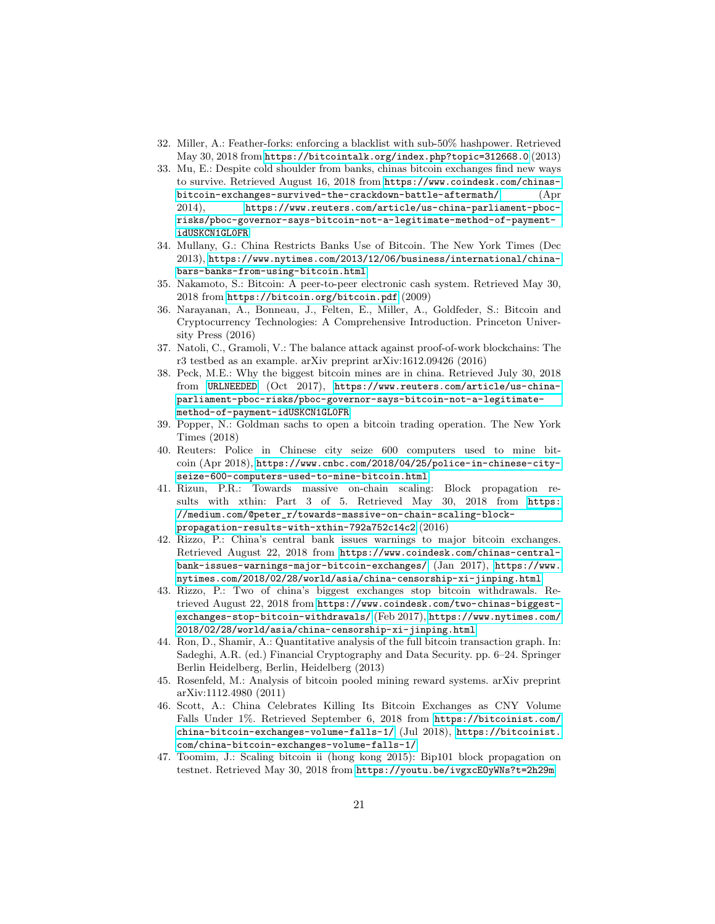- <span id="page-20-4"></span>32. Miller, A.: Feather-forks: enforcing a blacklist with sub-50% hashpower. Retrieved May 30, 2018 from <https://bitcointalk.org/index.php?topic=312668.0> (2013)
- <span id="page-20-13"></span>33. Mu, E.: Despite cold shoulder from banks, chinas bitcoin exchanges find new ways to survive. Retrieved August 16, 2018 from [https://www.coindesk.com/chinas](https://www.coindesk.com/chinas-bitcoin-exchanges-survived-the-crackdown-battle-aftermath/)[bitcoin-exchanges-survived-the-crackdown-battle-aftermath/](https://www.coindesk.com/chinas-bitcoin-exchanges-survived-the-crackdown-battle-aftermath/) (Apr 2014), [https://www.reuters.com/article/us-china-parliament-pboc](https://www.reuters.com/article/us-china-parliament-pboc-risks/pboc-governor-says-bitcoin-not-a-legitimate-method-of-payment-idUSKCN1GL0FR)[risks/pboc-governor-says-bitcoin-not-a-legitimate-method-of-payment](https://www.reuters.com/article/us-china-parliament-pboc-risks/pboc-governor-says-bitcoin-not-a-legitimate-method-of-payment-idUSKCN1GL0FR)[idUSKCN1GL0FR](https://www.reuters.com/article/us-china-parliament-pboc-risks/pboc-governor-says-bitcoin-not-a-legitimate-method-of-payment-idUSKCN1GL0FR)
- <span id="page-20-9"></span>34. Mullany, G.: China Restricts Banks Use of Bitcoin. The New York Times (Dec 2013), [https://www.nytimes.com/2013/12/06/business/international/china](https://www.nytimes.com/2013/12/06/business/international/china-bars-banks-from-using-bitcoin.html)[bars-banks-from-using-bitcoin.html](https://www.nytimes.com/2013/12/06/business/international/china-bars-banks-from-using-bitcoin.html)
- <span id="page-20-0"></span>35. Nakamoto, S.: Bitcoin: A peer-to-peer electronic cash system. Retrieved May 30, 2018 from <https://bitcoin.org/bitcoin.pdf> (2009)
- <span id="page-20-5"></span>36. Narayanan, A., Bonneau, J., Felten, E., Miller, A., Goldfeder, S.: Bitcoin and Cryptocurrency Technologies: A Comprehensive Introduction. Princeton University Press (2016)
- <span id="page-20-7"></span>37. Natoli, C., Gramoli, V.: The balance attack against proof-of-work blockchains: The r3 testbed as an example. arXiv preprint arXiv:1612.09426 (2016)
- <span id="page-20-14"></span>38. Peck, M.E.: Why the biggest bitcoin mines are in china. Retrieved July 30, 2018 from [URLNEEDED](URL NEEDED) (Oct 2017), [https://www.reuters.com/article/us-china](https://www.reuters.com/article/us-china-parliament-pboc-risks/pboc-governor-says-bitcoin-not-a-legitimate-method-of-payment-idUSKCN1GL0FR)[parliament-pboc-risks/pboc-governor-says-bitcoin-not-a-legitimate](https://www.reuters.com/article/us-china-parliament-pboc-risks/pboc-governor-says-bitcoin-not-a-legitimate-method-of-payment-idUSKCN1GL0FR)[method-of-payment-idUSKCN1GL0FR](https://www.reuters.com/article/us-china-parliament-pboc-risks/pboc-governor-says-bitcoin-not-a-legitimate-method-of-payment-idUSKCN1GL0FR)
- <span id="page-20-1"></span>39. Popper, N.: Goldman sachs to open a bitcoin trading operation. The New York Times (2018)
- <span id="page-20-15"></span>40. Reuters: Police in Chinese city seize 600 computers used to mine bitcoin (Apr 2018), [https://www.cnbc.com/2018/04/25/police-in-chinese-city](https://www.cnbc.com/2018/04/25/police-in-chinese-city-seize-600-computers-used-to-mine-bitcoin.html)[seize-600-computers-used-to-mine-bitcoin.html](https://www.cnbc.com/2018/04/25/police-in-chinese-city-seize-600-computers-used-to-mine-bitcoin.html)
- <span id="page-20-3"></span>41. Rizun, P.R.: Towards massive on-chain scaling: Block propagation results with xthin: Part 3 of 5. Retrieved May 30, 2018 from [https:](https://medium.com/@peter_r/towards-massive-on-chain-scaling-block-propagation-results-with-xthin-792a752c14c2) [//medium.com/@peter\\_r/towards-massive-on-chain-scaling-block](https://medium.com/@peter_r/towards-massive-on-chain-scaling-block-propagation-results-with-xthin-792a752c14c2)[propagation-results-with-xthin-792a752c14c2](https://medium.com/@peter_r/towards-massive-on-chain-scaling-block-propagation-results-with-xthin-792a752c14c2) (2016)
- <span id="page-20-10"></span>42. Rizzo, P.: China's central bank issues warnings to major bitcoin exchanges. Retrieved August 22, 2018 from [https://www.coindesk.com/chinas-central](https://www.coindesk.com/chinas-central-bank-issues-warnings-major-bitcoin-exchanges/)[bank-issues-warnings-major-bitcoin-exchanges/](https://www.coindesk.com/chinas-central-bank-issues-warnings-major-bitcoin-exchanges/) (Jan 2017), [https://www.](https://www.nytimes.com/2018/02/28/world/asia/china-censorship-xi-jinping.html) [nytimes.com/2018/02/28/world/asia/china-censorship-xi-jinping.html](https://www.nytimes.com/2018/02/28/world/asia/china-censorship-xi-jinping.html)
- <span id="page-20-11"></span>43. Rizzo, P.: Two of china's biggest exchanges stop bitcoin withdrawals. Retrieved August 22, 2018 from [https://www.coindesk.com/two-chinas-biggest](https://www.coindesk.com/two-chinas-biggest-exchanges-stop-bitcoin-withdrawals/)[exchanges-stop-bitcoin-withdrawals/](https://www.coindesk.com/two-chinas-biggest-exchanges-stop-bitcoin-withdrawals/) (Feb 2017), [https://www.nytimes.com/](https://www.nytimes.com/2018/02/28/world/asia/china-censorship-xi-jinping.html) [2018/02/28/world/asia/china-censorship-xi-jinping.html](https://www.nytimes.com/2018/02/28/world/asia/china-censorship-xi-jinping.html)
- <span id="page-20-6"></span>44. Ron, D., Shamir, A.: Quantitative analysis of the full bitcoin transaction graph. In: Sadeghi, A.R. (ed.) Financial Cryptography and Data Security. pp. 6–24. Springer Berlin Heidelberg, Berlin, Heidelberg (2013)
- <span id="page-20-8"></span>45. Rosenfeld, M.: Analysis of bitcoin pooled mining reward systems. arXiv preprint arXiv:1112.4980 (2011)
- <span id="page-20-12"></span>46. Scott, A.: China Celebrates Killing Its Bitcoin Exchanges as CNY Volume Falls Under 1%. Retrieved September 6, 2018 from [https://bitcoinist.com/](https://bitcoinist.com/china-bitcoin-exchanges-volume-falls-1/) [china-bitcoin-exchanges-volume-falls-1/](https://bitcoinist.com/china-bitcoin-exchanges-volume-falls-1/) (Jul 2018), [https://bitcoinist.](https://bitcoinist.com/china-bitcoin-exchanges-volume-falls-1/) [com/china-bitcoin-exchanges-volume-falls-1/](https://bitcoinist.com/china-bitcoin-exchanges-volume-falls-1/)
- <span id="page-20-2"></span>47. Toomim, J.: Scaling bitcoin ii (hong kong 2015): Bip101 block propagation on testnet. Retrieved May 30, 2018 from <https://youtu.be/ivgxcEOyWNs?t=2h29m>